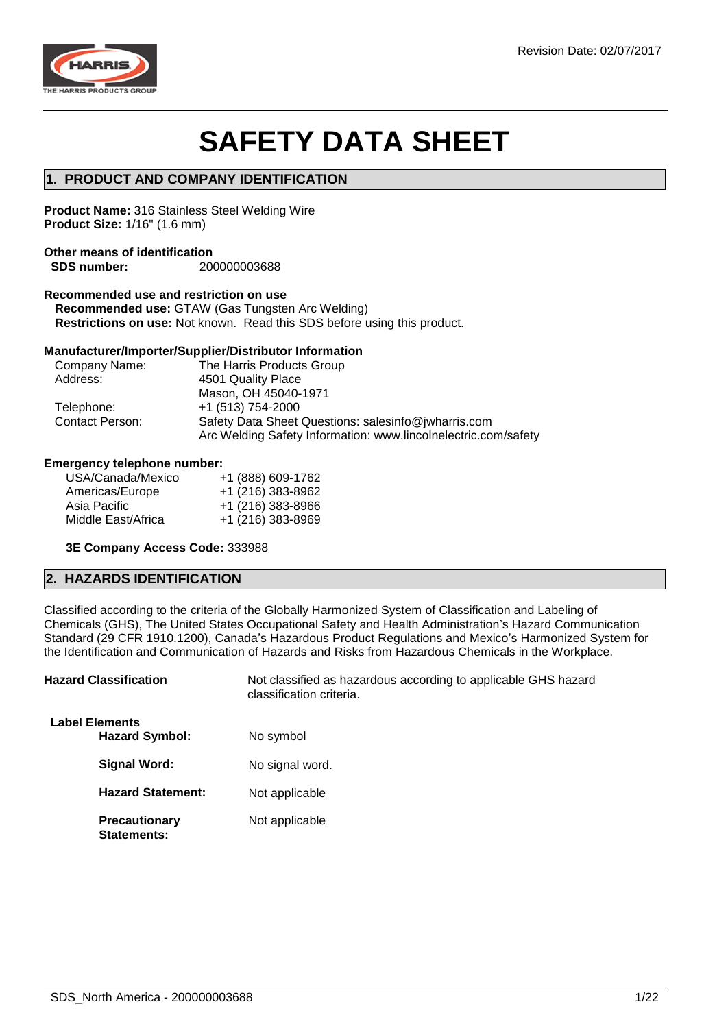

# **SAFETY DATA SHEET**

## **1. PRODUCT AND COMPANY IDENTIFICATION**

**Product Name:** 316 Stainless Steel Welding Wire **Product Size:** 1/16" (1.6 mm)

### **Other means of identification SDS number:** 200000003688

## **Recommended use and restriction on use**

**Recommended use:** GTAW (Gas Tungsten Arc Welding) **Restrictions on use:** Not known. Read this SDS before using this product.

## **Manufacturer/Importer/Supplier/Distributor Information**

| Company Name:          | The Harris Products Group                                                                                             |  |  |
|------------------------|-----------------------------------------------------------------------------------------------------------------------|--|--|
| Address:               | 4501 Quality Place                                                                                                    |  |  |
|                        | Mason, OH 45040-1971                                                                                                  |  |  |
| Telephone:             | +1 (513) 754-2000                                                                                                     |  |  |
| <b>Contact Person:</b> | Safety Data Sheet Questions: salesinfo@jwharris.com<br>Arc Welding Safety Information: www.lincolnelectric.com/safety |  |  |

#### **Emergency telephone number:**

| USA/Canada/Mexico  | +1 (888) 609-1762 |
|--------------------|-------------------|
| Americas/Europe    | +1 (216) 383-8962 |
| Asia Pacific       | +1 (216) 383-8966 |
| Middle East/Africa | +1 (216) 383-8969 |
|                    |                   |

## **3E Company Access Code:** 333988

## **2. HAZARDS IDENTIFICATION**

Classified according to the criteria of the Globally Harmonized System of Classification and Labeling of Chemicals (GHS), The United States Occupational Safety and Health Administration's Hazard Communication Standard (29 CFR 1910.1200), Canada's Hazardous Product Regulations and Mexico's Harmonized System for the Identification and Communication of Hazards and Risks from Hazardous Chemicals in the Workplace.

| <b>Hazard Classification</b>                   | Not classified as hazardous according to applicable GHS hazard<br>classification criteria. |
|------------------------------------------------|--------------------------------------------------------------------------------------------|
| <b>Label Elements</b><br><b>Hazard Symbol:</b> | No symbol                                                                                  |
| Signal Word:                                   | No signal word.                                                                            |
| <b>Hazard Statement:</b>                       | Not applicable                                                                             |
| <b>Precautionary</b><br>Statements:            | Not applicable                                                                             |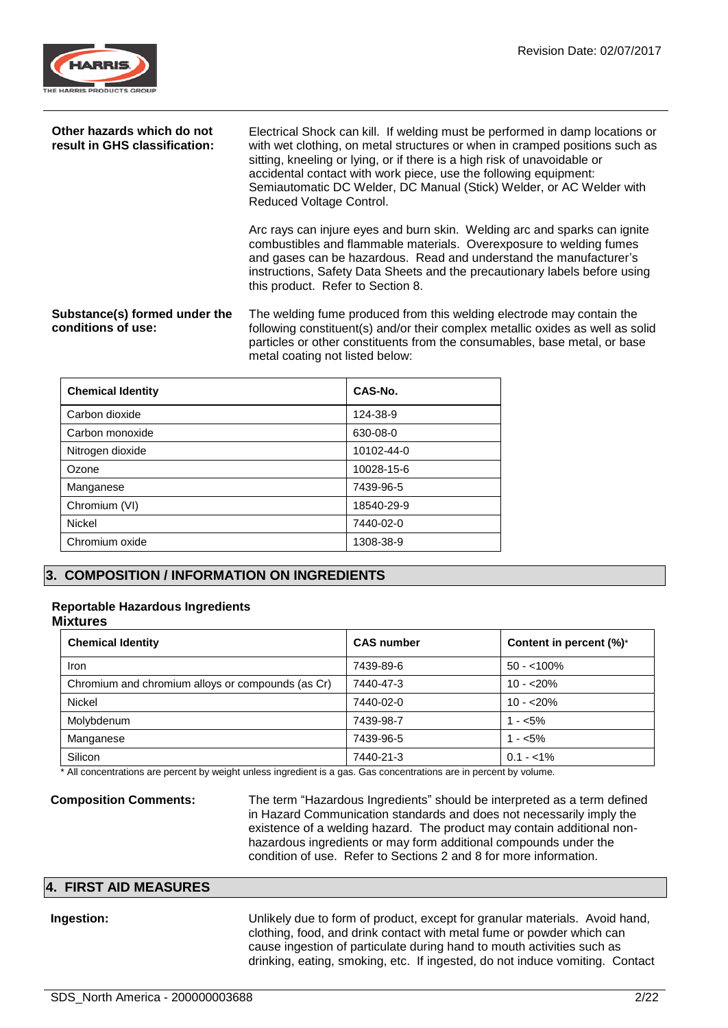

| Other hazards which do not<br>result in GHS classification: | Electrical Shock can kill. If welding must be performed in damp locations or<br>with wet clothing, on metal structures or when in cramped positions such as<br>sitting, kneeling or lying, or if there is a high risk of unavoidable or<br>accidental contact with work piece, use the following equipment:<br>Semiautomatic DC Welder, DC Manual (Stick) Welder, or AC Welder with<br>Reduced Voltage Control. |
|-------------------------------------------------------------|-----------------------------------------------------------------------------------------------------------------------------------------------------------------------------------------------------------------------------------------------------------------------------------------------------------------------------------------------------------------------------------------------------------------|
|                                                             | Arc rays can injure eyes and burn skin. Welding arc and sparks can ignite<br>combustibles and flammable materials. Overexposure to welding fumes<br>and gases can be hazardous. Read and understand the manufacturer's<br>instructions, Safety Data Sheets and the precautionary labels before using<br>this product. Refer to Section 8.                                                                       |
| Substance(s) formed under the<br>conditions of use:         | The welding fume produced from this welding electrode may contain the<br>following constituent(s) and/or their complex metallic oxides as well as solid<br>particles or other constituents from the consumables, base metal, or base<br>metal coating not listed below:                                                                                                                                         |

| <b>Chemical Identity</b> | CAS-No.    |
|--------------------------|------------|
| Carbon dioxide           | 124-38-9   |
| Carbon monoxide          | 630-08-0   |
| Nitrogen dioxide         | 10102-44-0 |
| Ozone                    | 10028-15-6 |
| Manganese                | 7439-96-5  |
| Chromium (VI)            | 18540-29-9 |
| <b>Nickel</b>            | 7440-02-0  |
| Chromium oxide           | 1308-38-9  |

## **3. COMPOSITION / INFORMATION ON INGREDIENTS**

## **Reportable Hazardous Ingredients**

## **Mixtures**

| <b>Chemical Identity</b>                          | <b>CAS number</b> | Content in percent (%)* |
|---------------------------------------------------|-------------------|-------------------------|
| Iron                                              | 7439-89-6         | $50 - 100\%$            |
| Chromium and chromium alloys or compounds (as Cr) | 7440-47-3         | $10 - 20%$              |
| <b>Nickel</b>                                     | 7440-02-0         | $10 - 20%$              |
| Molybdenum                                        | 7439-98-7         | $1 - 5\%$               |
| Manganese                                         | 7439-96-5         | $1 - 5\%$               |
| Silicon                                           | 7440-21-3         | $0.1 - 1\%$             |

All concentrations are percent by weight unless ingredient is a gas. Gas concentrations are in percent by volume.

**Composition Comments:** The term "Hazardous Ingredients" should be interpreted as a term defined in Hazard Communication standards and does not necessarily imply the existence of a welding hazard. The product may contain additional nonhazardous ingredients or may form additional compounds under the condition of use. Refer to Sections 2 and 8 for more information.

#### **4. FIRST AID MEASURES**

**Ingestion:** Unlikely due to form of product, except for granular materials. Avoid hand, clothing, food, and drink contact with metal fume or powder which can cause ingestion of particulate during hand to mouth activities such as drinking, eating, smoking, etc. If ingested, do not induce vomiting. Contact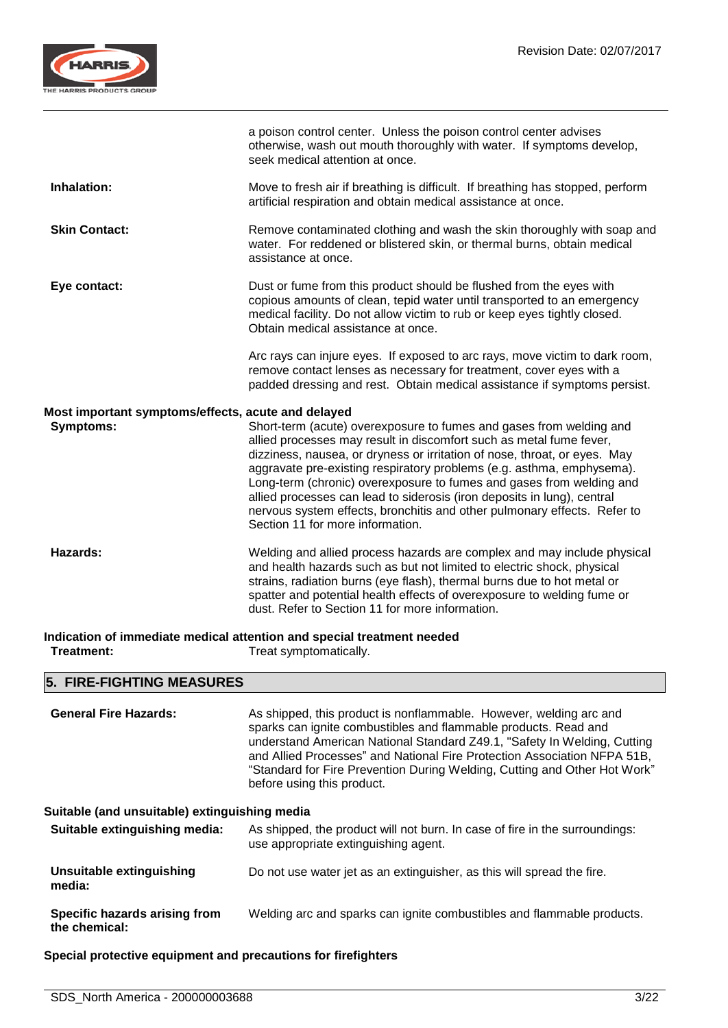

|                                                    | a poison control center. Unless the poison control center advises<br>otherwise, wash out mouth thoroughly with water. If symptoms develop,<br>seek medical attention at once.                                                                                                                                                                                                                                                                                                                                                                                       |
|----------------------------------------------------|---------------------------------------------------------------------------------------------------------------------------------------------------------------------------------------------------------------------------------------------------------------------------------------------------------------------------------------------------------------------------------------------------------------------------------------------------------------------------------------------------------------------------------------------------------------------|
| Inhalation:                                        | Move to fresh air if breathing is difficult. If breathing has stopped, perform<br>artificial respiration and obtain medical assistance at once.                                                                                                                                                                                                                                                                                                                                                                                                                     |
| <b>Skin Contact:</b>                               | Remove contaminated clothing and wash the skin thoroughly with soap and<br>water. For reddened or blistered skin, or thermal burns, obtain medical<br>assistance at once.                                                                                                                                                                                                                                                                                                                                                                                           |
| Eye contact:                                       | Dust or fume from this product should be flushed from the eyes with<br>copious amounts of clean, tepid water until transported to an emergency<br>medical facility. Do not allow victim to rub or keep eyes tightly closed.<br>Obtain medical assistance at once.                                                                                                                                                                                                                                                                                                   |
|                                                    | Arc rays can injure eyes. If exposed to arc rays, move victim to dark room,<br>remove contact lenses as necessary for treatment, cover eyes with a<br>padded dressing and rest. Obtain medical assistance if symptoms persist.                                                                                                                                                                                                                                                                                                                                      |
| Most important symptoms/effects, acute and delayed |                                                                                                                                                                                                                                                                                                                                                                                                                                                                                                                                                                     |
| Symptoms:                                          | Short-term (acute) overexposure to fumes and gases from welding and<br>allied processes may result in discomfort such as metal fume fever,<br>dizziness, nausea, or dryness or irritation of nose, throat, or eyes. May<br>aggravate pre-existing respiratory problems (e.g. asthma, emphysema).<br>Long-term (chronic) overexposure to fumes and gases from welding and<br>allied processes can lead to siderosis (iron deposits in lung), central<br>nervous system effects, bronchitis and other pulmonary effects. Refer to<br>Section 11 for more information. |
| <b>Hazards:</b>                                    | Welding and allied process hazards are complex and may include physical<br>and health hazards such as but not limited to electric shock, physical<br>strains, radiation burns (eye flash), thermal burns due to hot metal or<br>spatter and potential health effects of overexposure to welding fume or<br>dust. Refer to Section 11 for more information.                                                                                                                                                                                                          |
| Treatment:                                         | Indication of immediate medical attention and special treatment needed<br>Treat symptomatically.                                                                                                                                                                                                                                                                                                                                                                                                                                                                    |

Treat symptomatically.

## **5. FIRE-FIGHTING MEASURES**

| <b>General Fire Hazards:</b>                   | As shipped, this product is nonflammable. However, welding arc and<br>sparks can ignite combustibles and flammable products. Read and<br>understand American National Standard Z49.1, "Safety In Welding, Cutting<br>and Allied Processes" and National Fire Protection Association NFPA 51B,<br>"Standard for Fire Prevention During Welding, Cutting and Other Hot Work"<br>before using this product. |
|------------------------------------------------|----------------------------------------------------------------------------------------------------------------------------------------------------------------------------------------------------------------------------------------------------------------------------------------------------------------------------------------------------------------------------------------------------------|
| Suitable (and unsuitable) extinguishing media  |                                                                                                                                                                                                                                                                                                                                                                                                          |
| Suitable extinguishing media:                  | As shipped, the product will not burn. In case of fire in the surroundings:<br>use appropriate extinguishing agent.                                                                                                                                                                                                                                                                                      |
| Unsuitable extinguishing<br>media:             | Do not use water jet as an extinguisher, as this will spread the fire.                                                                                                                                                                                                                                                                                                                                   |
| Specific hazards arising from<br>the chemical: | Welding arc and sparks can ignite combustibles and flammable products.                                                                                                                                                                                                                                                                                                                                   |

**Special protective equipment and precautions for firefighters**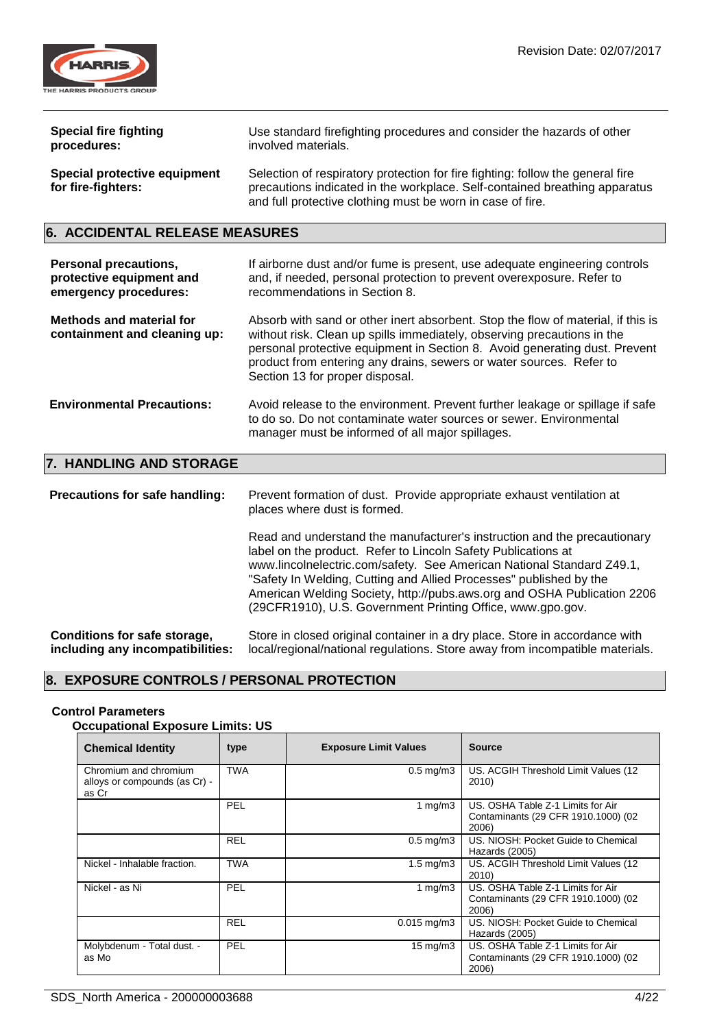

| <b>Special fire fighting</b>                              | Use standard firefighting procedures and consider the hazards of other                                                                                                                                                     |
|-----------------------------------------------------------|----------------------------------------------------------------------------------------------------------------------------------------------------------------------------------------------------------------------------|
| procedures:                                               | involved materials.                                                                                                                                                                                                        |
| <b>Special protective equipment</b><br>for fire-fighters: | Selection of respiratory protection for fire fighting: follow the general fire<br>precautions indicated in the workplace. Self-contained breathing apparatus<br>and full protective clothing must be worn in case of fire. |

## **6. ACCIDENTAL RELEASE MEASURES**

| <b>Personal precautions,</b><br>protective equipment and<br>emergency procedures: | If airborne dust and/or fume is present, use adequate engineering controls<br>and, if needed, personal protection to prevent overexposure. Refer to<br>recommendations in Section 8.                                                                                                                                                                |
|-----------------------------------------------------------------------------------|-----------------------------------------------------------------------------------------------------------------------------------------------------------------------------------------------------------------------------------------------------------------------------------------------------------------------------------------------------|
| <b>Methods and material for</b><br>containment and cleaning up:                   | Absorb with sand or other inert absorbent. Stop the flow of material, if this is<br>without risk. Clean up spills immediately, observing precautions in the<br>personal protective equipment in Section 8. Avoid generating dust. Prevent<br>product from entering any drains, sewers or water sources. Refer to<br>Section 13 for proper disposal. |
| <b>Environmental Precautions:</b>                                                 | Avoid release to the environment. Prevent further leakage or spillage if safe<br>to do so. Do not contaminate water sources or sewer. Environmental<br>manager must be informed of all major spillages.                                                                                                                                             |
| 7. HANDLING AND STORAGE                                                           |                                                                                                                                                                                                                                                                                                                                                     |

## **7. HANDLING AND STORAGE**

**Precautions for safe handling:** Prevent formation of dust. Provide appropriate exhaust ventilation at places where dust is formed. Read and understand the manufacturer's instruction and the precautionary label on the product. Refer to Lincoln Safety Publications at www.lincolnelectric.com/safety. See American National Standard Z49.1, "Safety In Welding, Cutting and Allied Processes" published by the American Welding Society, http://pubs.aws.org and OSHA Publication 2206 (29CFR1910), U.S. Government Printing Office, www.gpo.gov. **Conditions for safe storage, including any incompatibilities:** Store in closed original container in a dry place. Store in accordance with local/regional/national regulations. Store away from incompatible materials.

## **8. EXPOSURE CONTROLS / PERSONAL PROTECTION**

## **Control Parameters**

## **Occupational Exposure Limits: US**

| <b>Chemical Identity</b>                                        | type       | <b>Exposure Limit Values</b> | <b>Source</b>                                                                     |
|-----------------------------------------------------------------|------------|------------------------------|-----------------------------------------------------------------------------------|
| Chromium and chromium<br>alloys or compounds (as Cr) -<br>as Cr | <b>TWA</b> | $0.5$ mg/m $3$               | US. ACGIH Threshold Limit Values (12<br>2010)                                     |
|                                                                 | PEL        | 1 $mq/m3$                    | US. OSHA Table Z-1 Limits for Air<br>Contaminants (29 CFR 1910.1000) (02<br>2006) |
|                                                                 | <b>REL</b> | $0.5$ mg/m $3$               | US. NIOSH: Pocket Guide to Chemical<br>Hazards (2005)                             |
| Nickel - Inhalable fraction.                                    | <b>TWA</b> | $1.5 \text{ mg/m}$ 3         | US. ACGIH Threshold Limit Values (12<br>2010)                                     |
| Nickel - as Ni                                                  | PEL        | 1 $mq/m3$                    | US. OSHA Table Z-1 Limits for Air<br>Contaminants (29 CFR 1910.1000) (02<br>2006) |
|                                                                 | <b>REL</b> | $0.015$ mg/m3                | US. NIOSH: Pocket Guide to Chemical<br>Hazards (2005)                             |
| Molybdenum - Total dust. -<br>as Mo                             | PEL        | $15 \text{ mg/m}$            | US. OSHA Table Z-1 Limits for Air<br>Contaminants (29 CFR 1910.1000) (02<br>2006) |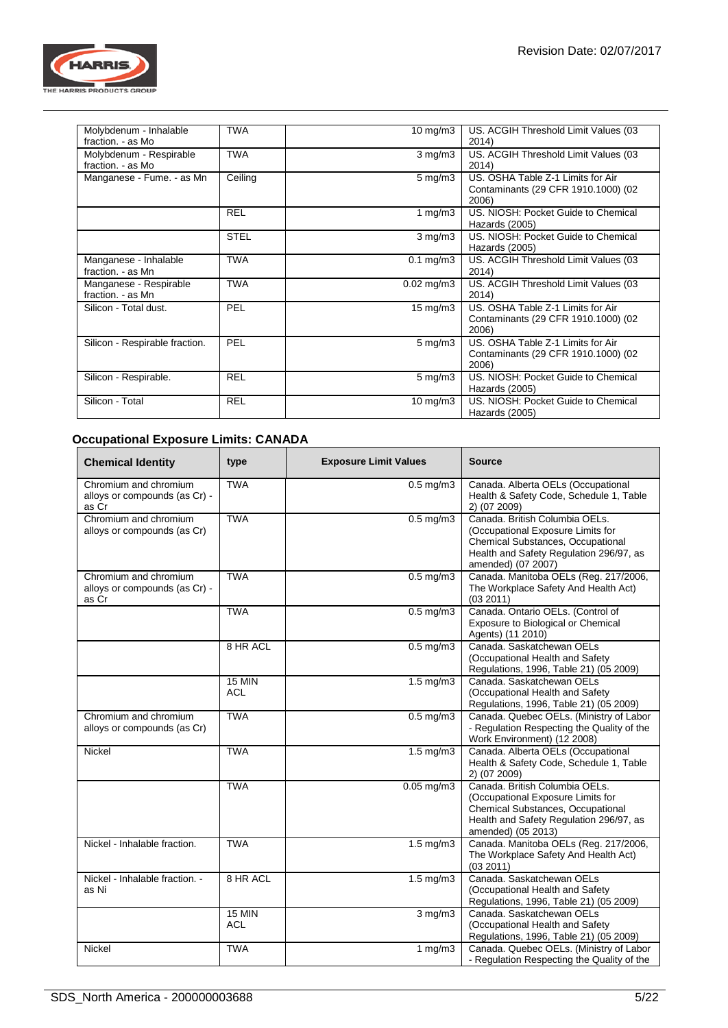

| Molybdenum - Inhalable<br>fraction. - as Mo  | <b>TWA</b>  | $10 \text{ mg/m}$    | US. ACGIH Threshold Limit Values (03<br>2014)                                     |
|----------------------------------------------|-------------|----------------------|-----------------------------------------------------------------------------------|
| Molybdenum - Respirable<br>fraction. - as Mo | <b>TWA</b>  | $3 \text{ mg/m}$     | US. ACGIH Threshold Limit Values (03<br>2014)                                     |
| Manganese - Fume. - as Mn                    | Ceiling     | $5 \,\mathrm{mg/m}$  | US. OSHA Table Z-1 Limits for Air<br>Contaminants (29 CFR 1910.1000) (02<br>2006) |
|                                              | <b>REL</b>  | 1 mg/m $3$           | US. NIOSH: Pocket Guide to Chemical<br>Hazards (2005)                             |
|                                              | <b>STEL</b> | $3 \text{ mg/m}$     | US. NIOSH: Pocket Guide to Chemical<br>Hazards (2005)                             |
| Manganese - Inhalable<br>fraction. - as Mn   | <b>TWA</b>  | $0.1 \text{ mg/m}$ 3 | US. ACGIH Threshold Limit Values (03<br>2014)                                     |
| Manganese - Respirable<br>fraction. - as Mn  | <b>TWA</b>  | $0.02$ mg/m $3$      | US. ACGIH Threshold Limit Values (03<br>2014)                                     |
| Silicon - Total dust.                        | PEL         | $15 \text{ mg/m}$    | US. OSHA Table Z-1 Limits for Air<br>Contaminants (29 CFR 1910.1000) (02<br>2006) |
| Silicon - Respirable fraction.               | PEL         | $5 \,\mathrm{mg/m}$  | US. OSHA Table Z-1 Limits for Air<br>Contaminants (29 CFR 1910.1000) (02<br>2006) |
| Silicon - Respirable.                        | <b>REL</b>  | $5 \,\mathrm{mg/m}$  | US. NIOSH: Pocket Guide to Chemical<br>Hazards (2005)                             |
| Silicon - Total                              | <b>REL</b>  | $10 \text{ mg/m}$    | US. NIOSH: Pocket Guide to Chemical<br>Hazards (2005)                             |

## **Occupational Exposure Limits: CANADA**

| <b>Chemical Identity</b>                                        | type                        | <b>Exposure Limit Values</b> | <b>Source</b>                                                                                                                                                             |
|-----------------------------------------------------------------|-----------------------------|------------------------------|---------------------------------------------------------------------------------------------------------------------------------------------------------------------------|
| Chromium and chromium<br>alloys or compounds (as Cr) -<br>as Cr | <b>TWA</b>                  | $0.5$ mg/m $3$               | Canada. Alberta OELs (Occupational<br>Health & Safety Code, Schedule 1, Table<br>2) (07 2009)                                                                             |
| Chromium and chromium<br>alloys or compounds (as Cr)            | <b>TWA</b>                  | $0.5$ mg/m $3$               | Canada, British Columbia OELs.<br>(Occupational Exposure Limits for<br>Chemical Substances, Occupational<br>Health and Safety Regulation 296/97, as<br>amended) (07 2007) |
| Chromium and chromium<br>alloys or compounds (as Cr) -<br>as Cr | <b>TWA</b>                  | $0.5$ mg/m $3$               | Canada. Manitoba OELs (Reg. 217/2006,<br>The Workplace Safety And Health Act)<br>(03 2011)                                                                                |
|                                                                 | <b>TWA</b>                  | $0.5$ mg/m $3$               | Canada. Ontario OELs. (Control of<br>Exposure to Biological or Chemical<br>Agents) (11 2010)                                                                              |
|                                                                 | 8 HR ACL                    | $0.5$ mg/m $3$               | Canada, Saskatchewan OELs<br>(Occupational Health and Safety<br>Regulations, 1996, Table 21) (05 2009)                                                                    |
|                                                                 | <b>15 MIN</b><br><b>ACL</b> | $1.5 \text{ mg/m}$ 3         | Canada, Saskatchewan OELs<br>(Occupational Health and Safety<br>Regulations, 1996, Table 21) (05 2009)                                                                    |
| Chromium and chromium<br>alloys or compounds (as Cr)            | <b>TWA</b>                  | $0.5$ mg/m $3$               | Canada. Quebec OELs. (Ministry of Labor<br>- Regulation Respecting the Quality of the<br>Work Environment) (12 2008)                                                      |
| Nickel                                                          | <b>TWA</b>                  | $1.5$ mg/m $3$               | Canada. Alberta OELs (Occupational<br>Health & Safety Code, Schedule 1, Table<br>2) (07 2009)                                                                             |
|                                                                 | <b>TWA</b>                  | $0.05$ mg/m $3$              | Canada, British Columbia OELs.<br>(Occupational Exposure Limits for<br>Chemical Substances, Occupational<br>Health and Safety Regulation 296/97, as<br>amended) (05 2013) |
| Nickel - Inhalable fraction.                                    | <b>TWA</b>                  | $1.5 \text{ mg/m}$ 3         | Canada. Manitoba OELs (Reg. 217/2006,<br>The Workplace Safety And Health Act)<br>(032011)                                                                                 |
| Nickel - Inhalable fraction. -<br>as Ni                         | 8 HR ACL                    | $1.5 \text{ mg/m}$ 3         | Canada, Saskatchewan OELs<br>(Occupational Health and Safety<br>Regulations, 1996, Table 21) (05 2009)                                                                    |
|                                                                 | <b>15 MIN</b><br><b>ACL</b> | $3$ mg/m $3$                 | Canada. Saskatchewan OELs<br>(Occupational Health and Safety<br>Regulations, 1996, Table 21) (05 2009)                                                                    |
| <b>Nickel</b>                                                   | <b>TWA</b>                  | 1 $mg/m3$                    | Canada. Quebec OELs. (Ministry of Labor<br>- Regulation Respecting the Quality of the                                                                                     |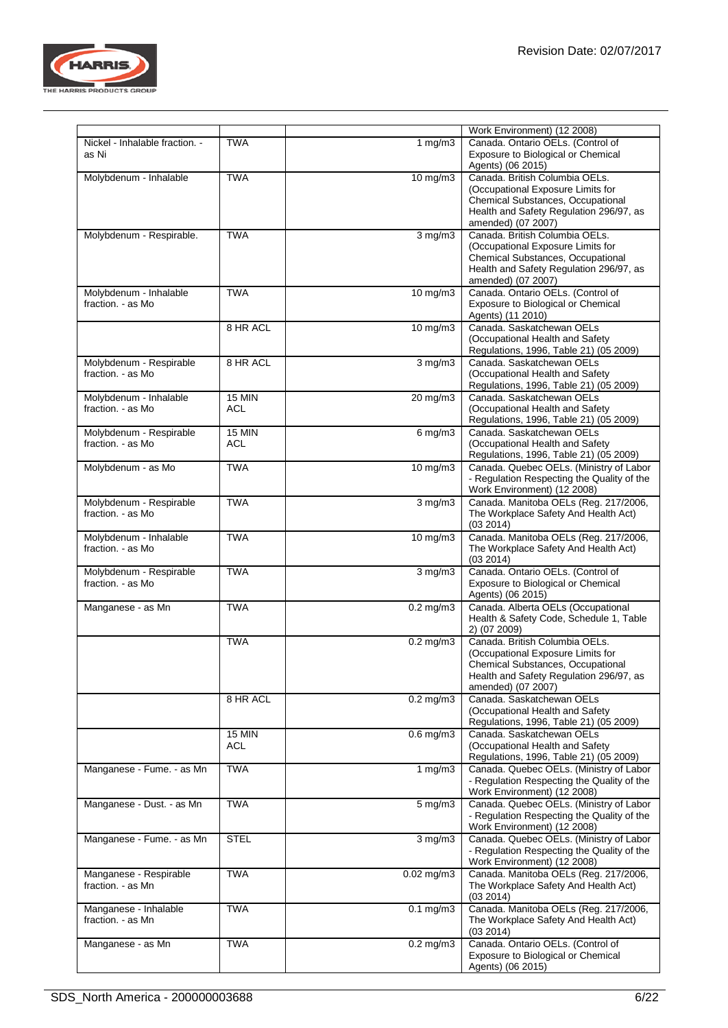

|                                              |                             |                      | Work Environment) (12 2008)                                                                                                                                               |
|----------------------------------------------|-----------------------------|----------------------|---------------------------------------------------------------------------------------------------------------------------------------------------------------------------|
| Nickel - Inhalable fraction. -<br>as Ni      | <b>TWA</b>                  | 1 $mg/m3$            | Canada. Ontario OELs. (Control of<br>Exposure to Biological or Chemical<br>Agents) (06 2015)                                                                              |
| Molybdenum - Inhalable                       | <b>TWA</b>                  | $10$ mg/m $3$        | Canada, British Columbia OELs.<br>(Occupational Exposure Limits for<br>Chemical Substances, Occupational<br>Health and Safety Regulation 296/97, as<br>amended) (07 2007) |
| Molybdenum - Respirable.                     | <b>TWA</b>                  | $3$ mg/m $3$         | Canada. British Columbia OELs.<br>(Occupational Exposure Limits for<br>Chemical Substances, Occupational<br>Health and Safety Regulation 296/97, as<br>amended) (07 2007) |
| Molybdenum - Inhalable<br>fraction. - as Mo  | <b>TWA</b>                  | $10$ mg/m $3$        | Canada. Ontario OELs. (Control of<br>Exposure to Biological or Chemical<br>Agents) (11 2010)                                                                              |
|                                              | 8 HR ACL                    | $10$ mg/m $3$        | Canada. Saskatchewan OELs<br>(Occupational Health and Safety<br>Regulations, 1996, Table 21) (05 2009)                                                                    |
| Molybdenum - Respirable<br>fraction. - as Mo | 8 HR ACL                    | $3$ mg/m $3$         | Canada. Saskatchewan OELs<br>(Occupational Health and Safety<br>Regulations, 1996, Table 21) (05 2009)                                                                    |
| Molybdenum - Inhalable<br>fraction. - as Mo  | $15$ MIN<br><b>ACL</b>      | $20 \,\mathrm{mg/m}$ | Canada, Saskatchewan OELs<br>(Occupational Health and Safety<br>Regulations, 1996, Table 21) (05 2009)                                                                    |
| Molybdenum - Respirable<br>fraction. - as Mo | $15$ MIN<br><b>ACL</b>      | $6$ mg/m $3$         | Canada. Saskatchewan OELs<br>(Occupational Health and Safety<br>Regulations, 1996, Table 21) (05 2009)                                                                    |
| Molybdenum - as Mo                           | <b>TWA</b>                  | $10$ mg/m $3$        | Canada. Quebec OELs. (Ministry of Labor<br>- Regulation Respecting the Quality of the<br>Work Environment) (12 2008)                                                      |
| Molybdenum - Respirable<br>fraction. - as Mo | <b>TWA</b>                  | $3$ mg/m $3$         | Canada. Manitoba OELs (Reg. 217/2006,<br>The Workplace Safety And Health Act)<br>(03 2014)                                                                                |
| Molybdenum - Inhalable<br>fraction. - as Mo  | <b>TWA</b>                  | $10 \text{ mg/m}$    | Canada. Manitoba OELs (Reg. 217/2006,<br>The Workplace Safety And Health Act)<br>(03 2014)                                                                                |
| Molybdenum - Respirable<br>fraction. - as Mo | <b>TWA</b>                  | $3$ mg/m $3$         | Canada. Ontario OELs. (Control of<br>Exposure to Biological or Chemical<br>Agents) (06 2015)                                                                              |
| Manganese - as Mn                            | <b>TWA</b>                  | $0.2$ mg/m $3$       | Canada. Alberta OELs (Occupational<br>Health & Safety Code, Schedule 1, Table<br>2) (07 2009)                                                                             |
|                                              | <b>TWA</b>                  | $0.2$ mg/m $3$       | Canada. British Columbia OELs.<br>(Occupational Exposure Limits for<br>Chemical Substances, Occupational<br>Health and Safety Regulation 296/97, as<br>amended) (07 2007) |
|                                              | 8 HR ACL                    | $0.2$ mg/m $3$       | Canada. Saskatchewan OELs<br>(Occupational Health and Safety<br>Regulations, 1996, Table 21) (05 2009)                                                                    |
|                                              | <b>15 MIN</b><br><b>ACL</b> | $0.6$ mg/m $3$       | Canada. Saskatchewan OELs<br>(Occupational Health and Safety<br>Regulations, 1996, Table 21) (05 2009)                                                                    |
| Manganese - Fume. - as Mn                    | <b>TWA</b>                  | 1 $mg/m3$            | Canada. Quebec OELs. (Ministry of Labor<br>- Regulation Respecting the Quality of the<br>Work Environment) (12 2008)                                                      |
| Manganese - Dust. - as Mn                    | <b>TWA</b>                  | $5 \text{ mg/m}$ 3   | Canada. Quebec OELs. (Ministry of Labor<br>- Regulation Respecting the Quality of the<br>Work Environment) (12 2008)                                                      |
| Manganese - Fume. - as Mn                    | <b>STEL</b>                 | $3$ mg/m $3$         | Canada. Quebec OELs. (Ministry of Labor<br>- Regulation Respecting the Quality of the<br>Work Environment) (12 2008)                                                      |
| Manganese - Respirable<br>fraction. - as Mn  | <b>TWA</b>                  | $0.02$ mg/m $3$      | Canada. Manitoba OELs (Reg. 217/2006,<br>The Workplace Safety And Health Act)<br>(03 2014)                                                                                |
| Manganese - Inhalable<br>fraction. - as Mn   | <b>TWA</b>                  | $0.1 \text{ mg/m}$ 3 | Canada. Manitoba OELs (Reg. 217/2006,<br>The Workplace Safety And Health Act)<br>(03 2014)                                                                                |
| Manganese - as Mn                            | <b>TWA</b>                  | $0.2$ mg/m $3$       | Canada. Ontario OELs. (Control of<br>Exposure to Biological or Chemical<br>Agents) (06 2015)                                                                              |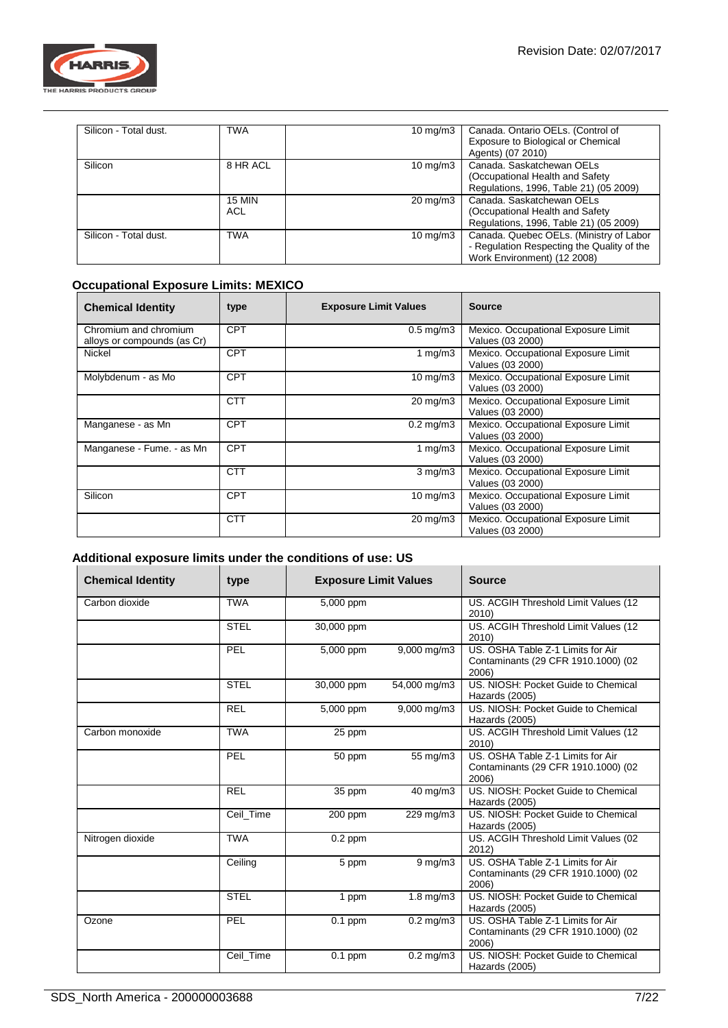

| Silicon - Total dust. | <b>TWA</b>           | $10 \text{ mg/m}$ | Canada. Ontario OELs. (Control of<br>Exposure to Biological or Chemical<br>Agents) (07 2010)                         |
|-----------------------|----------------------|-------------------|----------------------------------------------------------------------------------------------------------------------|
| Silicon               | 8 HR ACL             | 10 mg/m $3$       | Canada, Saskatchewan OELs<br>(Occupational Health and Safety<br>Regulations, 1996, Table 21) (05 2009)               |
|                       | <b>15 MIN</b><br>ACL | $20 \text{ mg/m}$ | Canada, Saskatchewan OELs<br>(Occupational Health and Safety)<br>Regulations, 1996, Table 21) (05 2009)              |
| Silicon - Total dust. | <b>TWA</b>           | $10 \text{ mg/m}$ | Canada. Quebec OELs. (Ministry of Labor<br>- Regulation Respecting the Quality of the<br>Work Environment) (12 2008) |

## **Occupational Exposure Limits: MEXICO**

| <b>Chemical Identity</b>                             | type       | <b>Exposure Limit Values</b> | <b>Source</b>                                           |
|------------------------------------------------------|------------|------------------------------|---------------------------------------------------------|
| Chromium and chromium<br>alloys or compounds (as Cr) | <b>CPT</b> | $0.5 \text{ mg/m}$ 3         | Mexico. Occupational Exposure Limit<br>Values (03 2000) |
| Nickel                                               | <b>CPT</b> | 1 mg/m $3$                   | Mexico. Occupational Exposure Limit<br>Values (03 2000) |
| Molybdenum - as Mo                                   | <b>CPT</b> | $10 \text{ mg/m}$            | Mexico. Occupational Exposure Limit<br>Values (03 2000) |
|                                                      | <b>CTT</b> | $20 \text{ mg/m}$ 3          | Mexico. Occupational Exposure Limit<br>Values (03 2000) |
| Manganese - as Mn                                    | <b>CPT</b> | $0.2 \text{ mg/m}$ 3         | Mexico. Occupational Exposure Limit<br>Values (03 2000) |
| Manganese - Fume. - as Mn                            | <b>CPT</b> | 1 mg/m $3$                   | Mexico. Occupational Exposure Limit<br>Values (03 2000) |
|                                                      | <b>CTT</b> | $3$ mg/m $3$                 | Mexico. Occupational Exposure Limit<br>Values (03 2000) |
| Silicon                                              | <b>CPT</b> | $10 \text{ mg/m}$            | Mexico. Occupational Exposure Limit<br>Values (03 2000) |
|                                                      | <b>CTT</b> | $20 \text{ mg/m}$ 3          | Mexico. Occupational Exposure Limit<br>Values (03 2000) |

## **Additional exposure limits under the conditions of use: US**

| <b>Chemical Identity</b> | type        | <b>Exposure Limit Values</b> |                         | <b>Source</b>                                                                     |
|--------------------------|-------------|------------------------------|-------------------------|-----------------------------------------------------------------------------------|
| Carbon dioxide           | <b>TWA</b>  | 5,000 ppm                    |                         | US. ACGIH Threshold Limit Values (12<br>2010)                                     |
|                          | <b>STEL</b> | 30,000 ppm                   |                         | US. ACGIH Threshold Limit Values (12<br>2010)                                     |
|                          | PEL         | 5,000 ppm                    | $9,000 \,\mathrm{mg/m}$ | US. OSHA Table Z-1 Limits for Air<br>Contaminants (29 CFR 1910.1000) (02<br>2006) |
|                          | <b>STEL</b> | 30,000 ppm                   | 54,000 mg/m3            | US. NIOSH: Pocket Guide to Chemical<br>Hazards (2005)                             |
|                          | <b>REL</b>  | 5,000 ppm                    | 9,000 mg/m3             | US. NIOSH: Pocket Guide to Chemical<br>Hazards (2005)                             |
| Carbon monoxide          | <b>TWA</b>  | 25 ppm                       |                         | US. ACGIH Threshold Limit Values (12<br>2010)                                     |
|                          | PEL         | 50 ppm                       | 55 mg/m3                | US. OSHA Table Z-1 Limits for Air<br>Contaminants (29 CFR 1910.1000) (02<br>2006) |
|                          | <b>REL</b>  | 35 ppm                       | 40 mg/m3                | US. NIOSH: Pocket Guide to Chemical<br>Hazards (2005)                             |
|                          | Ceil_Time   | 200 ppm                      | 229 mg/m3               | US. NIOSH: Pocket Guide to Chemical<br>Hazards (2005)                             |
| Nitrogen dioxide         | <b>TWA</b>  | $0.2$ ppm                    |                         | US. ACGIH Threshold Limit Values (02<br>2012)                                     |
|                          | Ceiling     | $\overline{5}$ ppm           | $9 \text{ mg/m}$        | US. OSHA Table Z-1 Limits for Air<br>Contaminants (29 CFR 1910.1000) (02<br>2006) |
|                          | <b>STEL</b> | 1 ppm                        | $1.8$ mg/m $3$          | US. NIOSH: Pocket Guide to Chemical<br>Hazards (2005)                             |
| Ozone                    | PEL         | $0.1$ ppm                    | $0.2$ mg/m $3$          | US. OSHA Table Z-1 Limits for Air<br>Contaminants (29 CFR 1910.1000) (02<br>2006) |
|                          | Ceil Time   | $0.1$ ppm                    | $0.2 \text{ mg/m}$ 3    | US. NIOSH: Pocket Guide to Chemical<br>Hazards (2005)                             |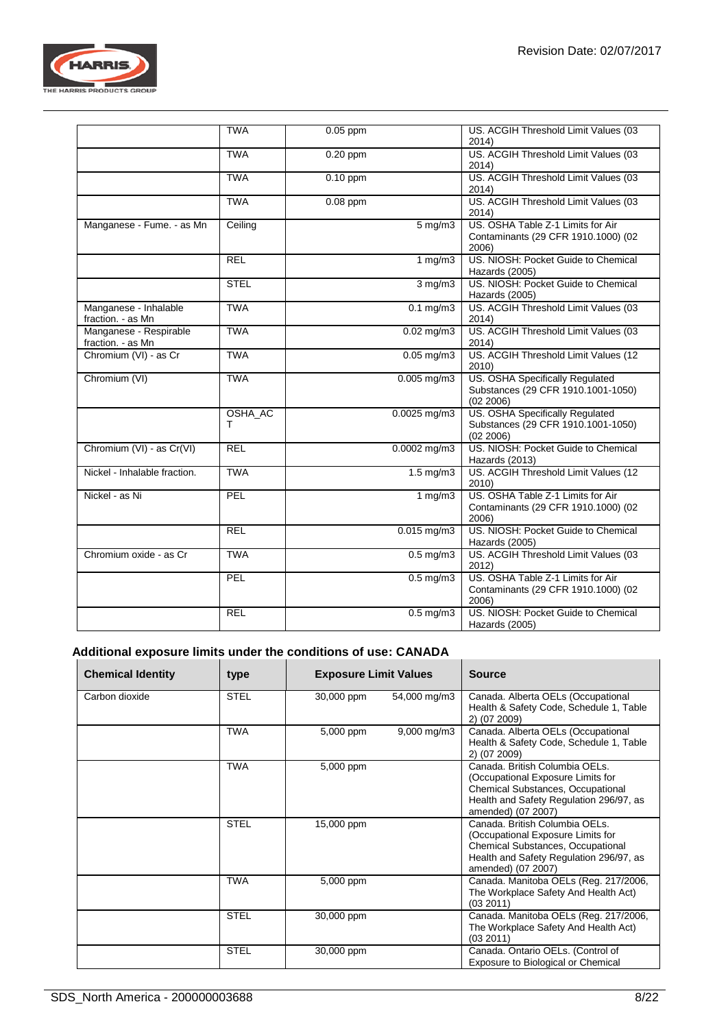

|                                             | <b>TWA</b>   | $0.05$ ppm |                        | US. ACGIH Threshold Limit Values (03<br>2014)                                      |
|---------------------------------------------|--------------|------------|------------------------|------------------------------------------------------------------------------------|
|                                             | <b>TWA</b>   | $0.20$ ppm |                        | US. ACGIH Threshold Limit Values (03<br>2014)                                      |
|                                             | <b>TWA</b>   | $0.10$ ppm |                        | US. ACGIH Threshold Limit Values (03<br>2014)                                      |
|                                             | <b>TWA</b>   | $0.08$ ppm |                        | US. ACGIH Threshold Limit Values (03<br>2014)                                      |
| Manganese - Fume. - as Mn                   | Ceiling      |            | $5 \,\mathrm{mg/m3}$   | US. OSHA Table Z-1 Limits for Air<br>Contaminants (29 CFR 1910.1000) (02<br>2006)  |
|                                             | <b>REL</b>   |            | 1 $mg/m3$              | US. NIOSH: Pocket Guide to Chemical<br>Hazards (2005)                              |
|                                             | <b>STEL</b>  |            | $3$ mg/m $3$           | US. NIOSH: Pocket Guide to Chemical<br>Hazards (2005)                              |
| Manganese - Inhalable<br>fraction. - as Mn  | <b>TWA</b>   |            | $0.1 \text{ mg/m}$     | US. ACGIH Threshold Limit Values (03<br>2014)                                      |
| Manganese - Respirable<br>fraction. - as Mn | <b>TWA</b>   |            | $0.02$ mg/m $3$        | US. ACGIH Threshold Limit Values (03<br>2014)                                      |
| Chromium (VI) - as Cr                       | <b>TWA</b>   |            | $0.05$ mg/m $3$        | US. ACGIH Threshold Limit Values (12<br>2010)                                      |
| Chromium (VI)                               | <b>TWA</b>   |            | $0.005$ mg/m3          | US. OSHA Specifically Regulated<br>Substances (29 CFR 1910.1001-1050)<br>(02 2006) |
|                                             | OSHA_AC<br>т |            | $0.0025$ mg/m3         | US. OSHA Specifically Regulated<br>Substances (29 CFR 1910.1001-1050)<br>(02 2006) |
| Chromium (VI) - as Cr(VI)                   | <b>REL</b>   |            | $0.0002$ mg/m3         | US. NIOSH: Pocket Guide to Chemical<br>Hazards (2013)                              |
| Nickel - Inhalable fraction.                | <b>TWA</b>   |            | $1.5 \,\mathrm{mg/m}$  | US. ACGIH Threshold Limit Values (12<br>2010)                                      |
| Nickel - as Ni                              | PEL          |            | 1 $mg/m3$              | US. OSHA Table Z-1 Limits for Air<br>Contaminants (29 CFR 1910.1000) (02<br>2006)  |
|                                             | <b>REL</b>   |            | $0.015$ mg/m3          | US. NIOSH: Pocket Guide to Chemical<br>Hazards (2005)                              |
| Chromium oxide - as Cr                      | <b>TWA</b>   |            | $0.5$ mg/m $3$         | US. ACGIH Threshold Limit Values (03<br>2012)                                      |
|                                             | <b>PEL</b>   |            | $0.5$ mg/m $3$         | US. OSHA Table Z-1 Limits for Air<br>Contaminants (29 CFR 1910.1000) (02<br>2006)  |
|                                             | <b>REL</b>   |            | $\overline{0.5}$ mg/m3 | US. NIOSH: Pocket Guide to Chemical<br>Hazards (2005)                              |

## **Additional exposure limits under the conditions of use: CANADA**

| <b>Chemical Identity</b> | type        | <b>Exposure Limit Values</b> |                         | Source                                                                                                                                                                           |
|--------------------------|-------------|------------------------------|-------------------------|----------------------------------------------------------------------------------------------------------------------------------------------------------------------------------|
| Carbon dioxide           | <b>STEL</b> | 30,000 ppm                   | 54,000 mg/m3            | Canada. Alberta OELs (Occupational<br>Health & Safety Code, Schedule 1, Table<br>2) (07 2009)                                                                                    |
|                          | <b>TWA</b>  | 5,000 ppm                    | $9,000 \,\mathrm{mg/m}$ | Canada. Alberta OELs (Occupational<br>Health & Safety Code, Schedule 1, Table<br>2) (07 2009)                                                                                    |
|                          | <b>TWA</b>  | 5,000 ppm                    |                         | Canada, British Columbia OELs.<br>(Occupational Exposure Limits for<br>Chemical Substances, Occupational<br>Health and Safety Regulation 296/97, as<br>amended) (07 2007)        |
|                          | <b>STEL</b> | 15,000 ppm                   |                         | Canada. British Columbia OELs.<br>(Occupational Exposure Limits for<br><b>Chemical Substances, Occupational</b><br>Health and Safety Regulation 296/97, as<br>amended) (07 2007) |
|                          | <b>TWA</b>  | 5,000 ppm                    |                         | Canada. Manitoba OELs (Reg. 217/2006,<br>The Workplace Safety And Health Act)<br>(03 2011)                                                                                       |
|                          | <b>STEL</b> | 30,000 ppm                   |                         | Canada. Manitoba OELs (Reg. 217/2006,<br>The Workplace Safety And Health Act)<br>(03 2011)                                                                                       |
|                          | <b>STEL</b> | 30,000 ppm                   |                         | Canada. Ontario OELs. (Control of<br>Exposure to Biological or Chemical                                                                                                          |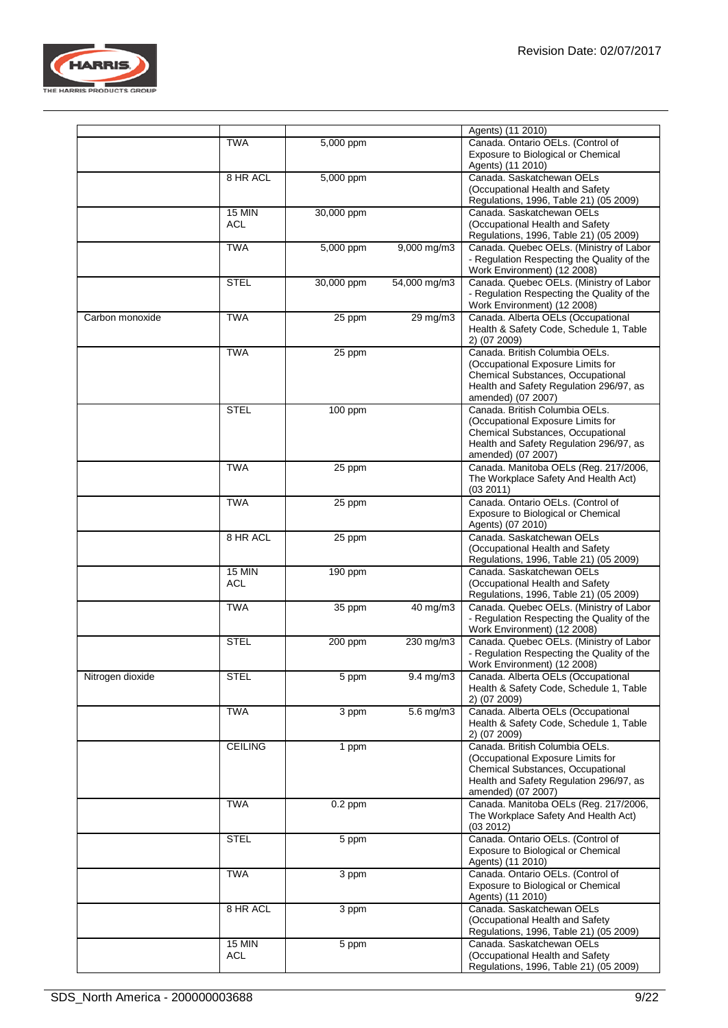

|                  |                             |                    |                      | Agents) (11 2010)                                                                                                                                                         |
|------------------|-----------------------------|--------------------|----------------------|---------------------------------------------------------------------------------------------------------------------------------------------------------------------------|
|                  | <b>TWA</b>                  | 5,000 ppm          |                      | Canada. Ontario OELs. (Control of<br>Exposure to Biological or Chemical<br>Agents) (11 2010)                                                                              |
|                  | 8 HR ACL                    | 5,000 ppm          |                      | Canada. Saskatchewan OELs<br>(Occupational Health and Safety                                                                                                              |
|                  | <b>15 MIN</b>               | 30,000 ppm         |                      | Regulations, 1996, Table 21) (05 2009)<br>Canada, Saskatchewan OELs                                                                                                       |
|                  | ACL                         |                    |                      | (Occupational Health and Safety<br>Regulations, 1996, Table 21) (05 2009)                                                                                                 |
|                  | <b>TWA</b>                  | 5,000 ppm          | 9,000 mg/m3          | Canada. Quebec OELs. (Ministry of Labor<br>- Regulation Respecting the Quality of the<br>Work Environment) (12 2008)                                                      |
|                  | <b>STEL</b>                 | 30,000 ppm         | 54,000 mg/m3         | Canada. Quebec OELs. (Ministry of Labor<br>- Regulation Respecting the Quality of the<br>Work Environment) (12 2008)                                                      |
| Carbon monoxide  | <b>TWA</b>                  | 25 ppm             | $29 \,\mathrm{mg/m}$ | Canada. Alberta OELs (Occupational<br>Health & Safety Code, Schedule 1, Table<br>2) (07 2009)                                                                             |
|                  | <b>TWA</b>                  | 25 ppm             |                      | Canada. British Columbia OELs.<br>(Occupational Exposure Limits for<br>Chemical Substances, Occupational<br>Health and Safety Regulation 296/97, as<br>amended) (07 2007) |
|                  | <b>STEL</b>                 | 100 ppm            |                      | Canada. British Columbia OELs.<br>(Occupational Exposure Limits for<br>Chemical Substances, Occupational<br>Health and Safety Regulation 296/97, as<br>amended) (07 2007) |
|                  | <b>TWA</b>                  | 25 ppm             |                      | Canada. Manitoba OELs (Reg. 217/2006,<br>The Workplace Safety And Health Act)<br>(03 2011)                                                                                |
|                  | <b>TWA</b>                  | 25 ppm             |                      | Canada. Ontario OELs. (Control of<br>Exposure to Biological or Chemical<br>Agents) (07 2010)                                                                              |
|                  | 8 HR ACL                    | 25 ppm             |                      | Canada. Saskatchewan OELs<br>(Occupational Health and Safety<br>Regulations, 1996, Table 21) (05 2009)                                                                    |
|                  | <b>15 MIN</b><br><b>ACL</b> | 190 ppm            |                      | Canada. Saskatchewan OELs<br>(Occupational Health and Safety<br>Regulations, 1996, Table 21) (05 2009)                                                                    |
|                  | <b>TWA</b>                  | 35 ppm             | 40 mg/m3             | Canada. Quebec OELs. (Ministry of Labor<br>- Regulation Respecting the Quality of the<br>Work Environment) (12 2008)                                                      |
|                  | <b>STEL</b>                 | 200 ppm            | 230 mg/m3            | Canada. Quebec OELs. (Ministry of Labor<br>- Regulation Respecting the Quality of the<br>Work Environment) (12 2008)                                                      |
| Nitrogen dioxide | <b>STEL</b>                 | 5 ppm              | $9.4$ mg/m $3$       | Canada. Alberta OELs (Occupational<br>Health & Safety Code, Schedule 1, Table<br>2) (07 2009)                                                                             |
|                  | <b>TWA</b>                  | 3 ppm              | 5.6 mg/m3            | Canada. Alberta OELs (Occupational<br>Health & Safety Code, Schedule 1, Table<br>2) (07 2009)                                                                             |
|                  | <b>CEILING</b>              | 1 ppm              |                      | Canada. British Columbia OELs.<br>(Occupational Exposure Limits for<br>Chemical Substances, Occupational<br>Health and Safety Regulation 296/97, as<br>amended) (07 2007) |
|                  | <b>TWA</b>                  | $0.2$ ppm          |                      | Canada. Manitoba OELs (Reg. 217/2006,<br>The Workplace Safety And Health Act)<br>(03 2012)                                                                                |
|                  | <b>STEL</b>                 | $\overline{5}$ ppm |                      | Canada. Ontario OELs. (Control of<br>Exposure to Biological or Chemical<br>Agents) (11 2010)                                                                              |
|                  | <b>TWA</b>                  | 3 ppm              |                      | Canada. Ontario OELs. (Control of<br>Exposure to Biological or Chemical<br>Agents) (11 2010)                                                                              |
|                  | 8 HR ACL                    | 3 ppm              |                      | Canada, Saskatchewan OELs<br>(Occupational Health and Safety<br>Regulations, 1996, Table 21) (05 2009)                                                                    |
|                  | <b>15 MIN</b><br><b>ACL</b> | 5 ppm              |                      | Canada. Saskatchewan OELs<br>(Occupational Health and Safety<br>Regulations, 1996, Table 21) (05 2009)                                                                    |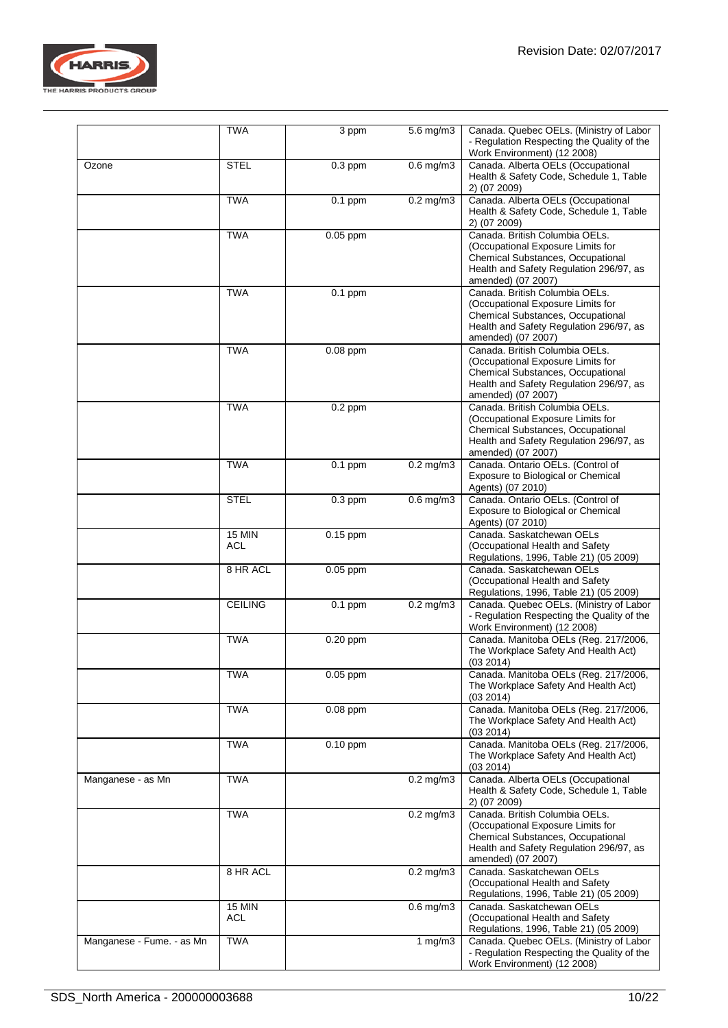

|                           | <b>TWA</b>           | 3 ppm                | $5.6$ mg/m $3$ | Canada. Quebec OELs. (Ministry of Labor<br>- Regulation Respecting the Quality of the<br>Work Environment) (12 2008)                                                      |
|---------------------------|----------------------|----------------------|----------------|---------------------------------------------------------------------------------------------------------------------------------------------------------------------------|
| Ozone                     | <b>STEL</b>          | $0.3$ ppm            | $0.6$ mg/m $3$ | Canada. Alberta OELs (Occupational<br>Health & Safety Code, Schedule 1, Table<br>2) (07 2009)                                                                             |
|                           | <b>TWA</b>           | $\overline{0.1}$ ppm | $0.2$ mg/m $3$ | Canada. Alberta OELs (Occupational<br>Health & Safety Code, Schedule 1, Table<br>2) (07 2009)                                                                             |
|                           | <b>TWA</b>           | $0.05$ ppm           |                | Canada. British Columbia OELs.<br>(Occupational Exposure Limits for<br>Chemical Substances, Occupational<br>Health and Safety Regulation 296/97, as<br>amended) (07 2007) |
|                           | <b>TWA</b>           | $0.1$ ppm            |                | Canada, British Columbia OELs.<br>(Occupational Exposure Limits for<br>Chemical Substances, Occupational<br>Health and Safety Regulation 296/97, as<br>amended) (07 2007) |
|                           | <b>TWA</b>           | $0.08$ ppm           |                | Canada. British Columbia OELs.<br>(Occupational Exposure Limits for<br>Chemical Substances, Occupational<br>Health and Safety Regulation 296/97, as<br>amended) (07 2007) |
|                           | <b>TWA</b>           | $0.2$ ppm            |                | Canada. British Columbia OELs.<br>(Occupational Exposure Limits for<br>Chemical Substances, Occupational<br>Health and Safety Regulation 296/97, as<br>amended) (07 2007) |
|                           | <b>TWA</b>           | $0.1$ ppm            | $0.2$ mg/m $3$ | Canada. Ontario OELs. (Control of<br>Exposure to Biological or Chemical<br>Agents) (07 2010)                                                                              |
|                           | <b>STEL</b>          | $0.3$ ppm            | $0.6$ mg/m $3$ | Canada. Ontario OELs. (Control of<br>Exposure to Biological or Chemical<br>Agents) (07 2010)                                                                              |
|                           | <b>15 MIN</b><br>ACL | $0.15$ ppm           |                | Canada. Saskatchewan OELs<br>(Occupational Health and Safety<br>Regulations, 1996, Table 21) (05 2009)                                                                    |
|                           | 8 HR ACL             | $0.05$ ppm           |                | Canada. Saskatchewan OELs<br>(Occupational Health and Safety<br>Regulations, 1996, Table 21) (05 2009)                                                                    |
|                           | <b>CEILING</b>       | $0.1$ ppm            | $0.2$ mg/m $3$ | Canada. Quebec OELs. (Ministry of Labor<br>- Regulation Respecting the Quality of the<br>Work Environment) (12 2008)                                                      |
|                           | <b>TWA</b>           | $0.20$ ppm           |                | Canada. Manitoba OELs (Reg. 217/2006,<br>The Workplace Safety And Health Act)<br>(03 2014)                                                                                |
|                           | <b>TWA</b>           | $0.05$ ppm           |                | Canada. Manitoba OELs (Reg. 217/2006,<br>The Workplace Safety And Health Act)<br>(03 2014)                                                                                |
|                           | <b>TWA</b>           | $0.08$ ppm           |                | Canada. Manitoba OELs (Reg. 217/2006,<br>The Workplace Safety And Health Act)<br>(03 2014)                                                                                |
|                           | <b>TWA</b>           | $0.10$ ppm           |                | Canada. Manitoba OELs (Reg. 217/2006,<br>The Workplace Safety And Health Act)<br>(03 2014)                                                                                |
| Manganese - as Mn         | <b>TWA</b>           |                      | $0.2$ mg/m $3$ | Canada. Alberta OELs (Occupational<br>Health & Safety Code, Schedule 1, Table<br>2) (07 2009)                                                                             |
|                           | <b>TWA</b>           |                      | $0.2$ mg/m $3$ | Canada, British Columbia OELs.<br>(Occupational Exposure Limits for<br>Chemical Substances, Occupational<br>Health and Safety Regulation 296/97, as<br>amended) (07 2007) |
|                           | 8 HR ACL             |                      | $0.2$ mg/m $3$ | Canada. Saskatchewan OELs<br>(Occupational Health and Safety<br>Regulations, 1996, Table 21) (05 2009)                                                                    |
|                           | <b>15 MIN</b><br>ACL |                      | $0.6$ mg/m $3$ | Canada, Saskatchewan OELs<br>(Occupational Health and Safety<br>Regulations, 1996, Table 21) (05 2009)                                                                    |
| Manganese - Fume. - as Mn | <b>TWA</b>           |                      | 1 $mg/m3$      | Canada. Quebec OELs. (Ministry of Labor<br>- Regulation Respecting the Quality of the<br>Work Environment) (12 2008)                                                      |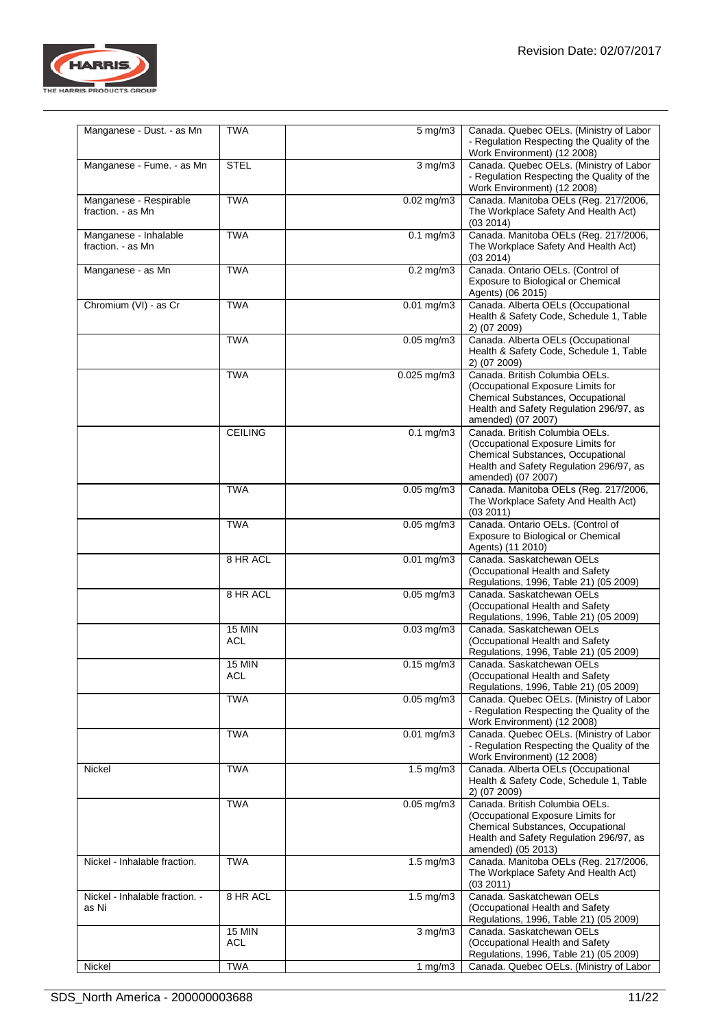

| Manganese - Dust. - as Mn                   | <b>TWA</b>                  | $5 \text{ mg/m}$         | Canada. Quebec OELs. (Ministry of Labor<br>- Regulation Respecting the Quality of the<br>Work Environment) (12 2008)                                                      |
|---------------------------------------------|-----------------------------|--------------------------|---------------------------------------------------------------------------------------------------------------------------------------------------------------------------|
| Manganese - Fume. - as Mn                   | <b>STEL</b>                 | $3$ mg/m $3$             | Canada. Quebec OELs. (Ministry of Labor<br>- Regulation Respecting the Quality of the<br>Work Environment) (12 2008)                                                      |
| Manganese - Respirable<br>fraction. - as Mn | <b>TWA</b>                  | $0.02$ mg/m $3$          | Canada. Manitoba OELs (Reg. 217/2006,<br>The Workplace Safety And Health Act)<br>(03 2014)                                                                                |
| Manganese - Inhalable<br>fraction. - as Mn  | <b>TWA</b>                  | $0.1$ mg/m $3$           | Canada. Manitoba OELs (Reg. 217/2006,<br>The Workplace Safety And Health Act)<br>(03 2014)                                                                                |
| Manganese - as Mn                           | <b>TWA</b>                  | $0.2$ mg/m $3$           | Canada. Ontario OELs. (Control of<br>Exposure to Biological or Chemical<br>Agents) (06 2015)                                                                              |
| Chromium (VI) - as Cr                       | <b>TWA</b>                  | $0.01$ mg/m3             | Canada. Alberta OELs (Occupational<br>Health & Safety Code, Schedule 1, Table<br>2) (07 2009)                                                                             |
|                                             | <b>TWA</b>                  | $0.05$ mg/m3             | Canada. Alberta OELs (Occupational<br>Health & Safety Code, Schedule 1, Table<br>2) (07 2009)                                                                             |
|                                             | <b>TWA</b>                  | $0.025$ mg/m3            | Canada. British Columbia OELs.<br>(Occupational Exposure Limits for<br>Chemical Substances, Occupational<br>Health and Safety Regulation 296/97, as<br>amended) (07 2007) |
|                                             | <b>CEILING</b>              | $0.1$ mg/m $3$           | Canada. British Columbia OELs.<br>(Occupational Exposure Limits for<br>Chemical Substances, Occupational<br>Health and Safety Regulation 296/97, as<br>amended) (07 2007) |
|                                             | <b>TWA</b>                  | $0.05$ mg/m $3$          | Canada. Manitoba OELs (Reg. 217/2006,<br>The Workplace Safety And Health Act)<br>(03 2011)                                                                                |
|                                             | <b>TWA</b>                  | $0.05 \text{ mg/m}$ 3    | Canada. Ontario OELs. (Control of<br>Exposure to Biological or Chemical<br>Agents) (11 2010)                                                                              |
|                                             | 8 HR ACL                    | $0.01$ mg/m3             | Canada. Saskatchewan OELs<br>(Occupational Health and Safety<br>Regulations, 1996, Table 21) (05 2009)                                                                    |
|                                             | 8 HR ACL                    | $0.05$ mg/m3             | Canada, Saskatchewan OELs<br>(Occupational Health and Safety<br>Regulations, 1996, Table 21) (05 2009)                                                                    |
|                                             | <b>15 MIN</b><br>ACL        | $0.03$ mg/m $3$          | Canada, Saskatchewan OELs<br>(Occupational Health and Safety<br>Regulations, 1996, Table 21) (05 2009)                                                                    |
|                                             | <b>15 MIN</b><br><b>ACL</b> | $\overline{0.1}$ 5 mg/m3 | Canada. Saskatchewan OELs<br>(Occupational Health and Safety<br>Regulations, 1996, Table 21) (05 2009)                                                                    |
|                                             | <b>TWA</b>                  | $0.05$ mg/m $3$          | Canada. Quebec OELs. (Ministry of Labor<br>- Regulation Respecting the Quality of the<br>Work Environment) (12 2008)                                                      |
|                                             | <b>TWA</b>                  | $0.01$ mg/m $3$          | Canada. Quebec OELs. (Ministry of Labor<br>- Regulation Respecting the Quality of the<br>Work Environment) (12 2008)                                                      |
| Nickel                                      | <b>TWA</b>                  | $1.5$ mg/m $3$           | Canada. Alberta OELs (Occupational<br>Health & Safety Code, Schedule 1, Table<br>2) (07 2009)                                                                             |
|                                             | <b>TWA</b>                  | $0.05$ mg/m $3$          | Canada. British Columbia OELs.<br>(Occupational Exposure Limits for<br>Chemical Substances, Occupational<br>Health and Safety Regulation 296/97, as<br>amended) (05 2013) |
| Nickel - Inhalable fraction.                | <b>TWA</b>                  | $1.5 \text{ mg/m}$ 3     | Canada. Manitoba OELs (Reg. 217/2006,<br>The Workplace Safety And Health Act)<br>(03 2011)                                                                                |
| Nickel - Inhalable fraction. -<br>as Ni     | 8 HR ACL                    | $1.5 \text{ mg/m}$ 3     | Canada. Saskatchewan OELs<br>(Occupational Health and Safety<br>Regulations, 1996, Table 21) (05 2009)                                                                    |
|                                             | <b>15 MIN</b><br>ACL        | $\overline{3}$ mg/m $3$  | Canada, Saskatchewan OELs<br>(Occupational Health and Safety<br>Regulations, 1996, Table 21) (05 2009)                                                                    |
| Nickel                                      | <b>TWA</b>                  | 1 mg/m $3$               | Canada. Quebec OELs. (Ministry of Labor                                                                                                                                   |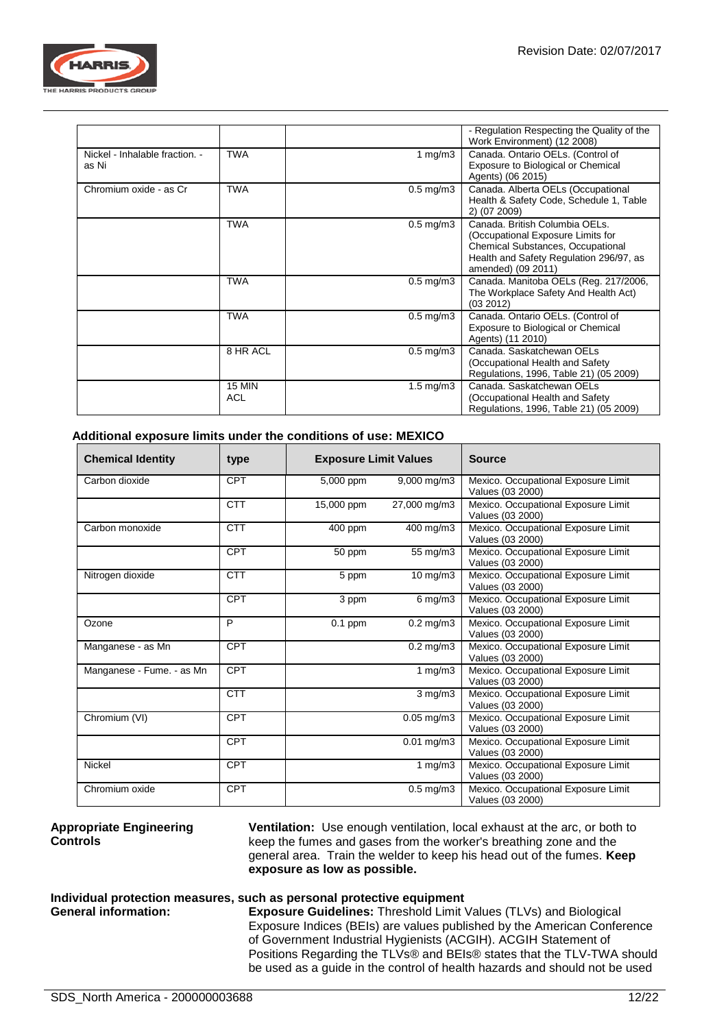

|                                         |                      |                      | - Regulation Respecting the Quality of the<br>Work Environment) (12 2008)                                                                                                 |
|-----------------------------------------|----------------------|----------------------|---------------------------------------------------------------------------------------------------------------------------------------------------------------------------|
| Nickel - Inhalable fraction. -<br>as Ni | <b>TWA</b>           | 1 mg/m $3$           | Canada. Ontario OELs. (Control of<br>Exposure to Biological or Chemical<br>Agents) (06 2015)                                                                              |
| Chromium oxide - as Cr                  | <b>TWA</b>           | $0.5 \text{ mg/m}$ 3 | Canada. Alberta OELs (Occupational<br>Health & Safety Code, Schedule 1, Table<br>2) (07 2009)                                                                             |
|                                         | <b>TWA</b>           | $0.5 \text{ mg/m}$ 3 | Canada, British Columbia OELs.<br>(Occupational Exposure Limits for<br>Chemical Substances, Occupational<br>Health and Safety Regulation 296/97, as<br>amended) (09 2011) |
|                                         | <b>TWA</b>           | $0.5 \text{ mg/m}$ 3 | Canada. Manitoba OELs (Reg. 217/2006,<br>The Workplace Safety And Health Act)<br>(03 2012)                                                                                |
|                                         | <b>TWA</b>           | $0.5$ mg/m $3$       | Canada. Ontario OELs. (Control of<br>Exposure to Biological or Chemical<br>Agents) (11 2010)                                                                              |
|                                         | 8 HR ACL             | $0.5$ mg/m $3$       | Canada, Saskatchewan OELs<br>(Occupational Health and Safety<br>Regulations, 1996, Table 21) (05 2009)                                                                    |
|                                         | 15 MIN<br><b>ACL</b> | $1.5 \text{ mg/m}$   | Canada, Saskatchewan OELs<br>(Occupational Health and Safety<br>Regulations, 1996, Table 21) (05 2009)                                                                    |

## **Additional exposure limits under the conditions of use: MEXICO**

| <b>Chemical Identity</b>  | type       | <b>Exposure Limit Values</b> |                         | <b>Source</b>                                           |
|---------------------------|------------|------------------------------|-------------------------|---------------------------------------------------------|
| Carbon dioxide            | CPT        | 5,000 ppm                    | 9,000 mg/m3             | Mexico. Occupational Exposure Limit<br>Values (03 2000) |
|                           | <b>CTT</b> | 15,000 ppm                   | 27,000 mg/m3            | Mexico. Occupational Exposure Limit<br>Values (03 2000) |
| Carbon monoxide           | <b>CTT</b> | 400 ppm                      | 400 mg/m3               | Mexico. Occupational Exposure Limit<br>Values (03 2000) |
|                           | <b>CPT</b> | 50 ppm                       | 55 mg/m3                | Mexico. Occupational Exposure Limit<br>Values (03 2000) |
| Nitrogen dioxide          | <b>CTT</b> | 5 ppm                        | $10$ mg/m $3$           | Mexico. Occupational Exposure Limit<br>Values (03 2000) |
|                           | CPT        | 3 ppm                        | $6$ mg/m $3$            | Mexico. Occupational Exposure Limit<br>Values (03 2000) |
| Ozone                     | P          | $\overline{0}.1$ ppm         | $0.2 \,\mathrm{mg/m}$ 3 | Mexico. Occupational Exposure Limit<br>Values (03 2000) |
| Manganese - as Mn         | <b>CPT</b> |                              | $0.2$ mg/m $3$          | Mexico. Occupational Exposure Limit<br>Values (03 2000) |
| Manganese - Fume. - as Mn | <b>CPT</b> |                              | 1 $mg/m3$               | Mexico. Occupational Exposure Limit<br>Values (03 2000) |
|                           | <b>CTT</b> |                              | $3$ mg/m $3$            | Mexico. Occupational Exposure Limit<br>Values (03 2000) |
| Chromium (VI)             | CPT        |                              | $0.05$ mg/m $3$         | Mexico. Occupational Exposure Limit<br>Values (03 2000) |
|                           | <b>CPT</b> |                              | $0.01$ mg/m $3$         | Mexico. Occupational Exposure Limit<br>Values (03 2000) |
| <b>Nickel</b>             | <b>CPT</b> |                              | 1 $mg/m3$               | Mexico. Occupational Exposure Limit<br>Values (03 2000) |
| Chromium oxide            | <b>CPT</b> |                              | $0.5$ mg/m $3$          | Mexico. Occupational Exposure Limit<br>Values (03 2000) |

#### **Appropriate Engineering Controls**

**Ventilation:** Use enough ventilation, local exhaust at the arc, or both to keep the fumes and gases from the worker's breathing zone and the general area. Train the welder to keep his head out of the fumes. **Keep exposure as low as possible.**

# **Individual protection measures, such as personal protective equipment**

**Exposure Guidelines:** Threshold Limit Values (TLVs) and Biological Exposure Indices (BEIs) are values published by the American Conference of Government Industrial Hygienists (ACGIH). ACGIH Statement of Positions Regarding the TLVs® and BEIs® states that the TLV-TWA should be used as a guide in the control of health hazards and should not be used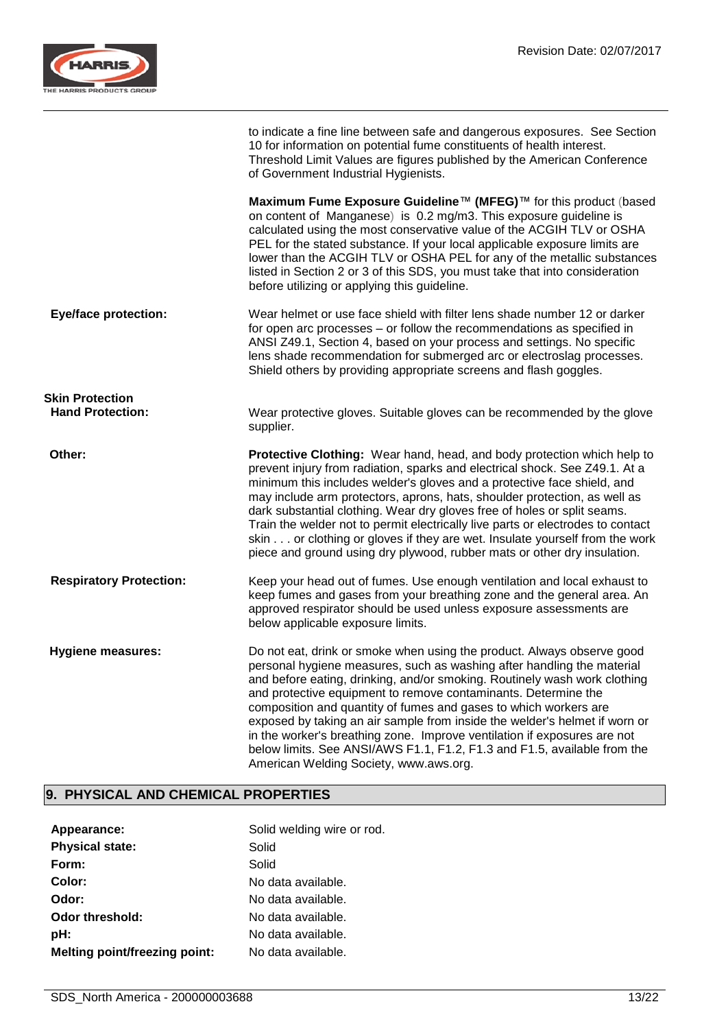

|                                                   | to indicate a fine line between safe and dangerous exposures. See Section<br>10 for information on potential fume constituents of health interest.<br>Threshold Limit Values are figures published by the American Conference<br>of Government Industrial Hygienists.                                                                                                                                                                                                                                                                                                                                                                               |
|---------------------------------------------------|-----------------------------------------------------------------------------------------------------------------------------------------------------------------------------------------------------------------------------------------------------------------------------------------------------------------------------------------------------------------------------------------------------------------------------------------------------------------------------------------------------------------------------------------------------------------------------------------------------------------------------------------------------|
|                                                   | Maximum Fume Exposure Guideline™ (MFEG)™ for this product (based<br>on content of Manganese) is 0.2 mg/m3. This exposure guideline is<br>calculated using the most conservative value of the ACGIH TLV or OSHA<br>PEL for the stated substance. If your local applicable exposure limits are<br>lower than the ACGIH TLV or OSHA PEL for any of the metallic substances<br>listed in Section 2 or 3 of this SDS, you must take that into consideration<br>before utilizing or applying this guideline.                                                                                                                                              |
| <b>Eye/face protection:</b>                       | Wear helmet or use face shield with filter lens shade number 12 or darker<br>for open arc processes - or follow the recommendations as specified in<br>ANSI Z49.1, Section 4, based on your process and settings. No specific<br>lens shade recommendation for submerged arc or electroslag processes.<br>Shield others by providing appropriate screens and flash goggles.                                                                                                                                                                                                                                                                         |
| <b>Skin Protection</b><br><b>Hand Protection:</b> | Wear protective gloves. Suitable gloves can be recommended by the glove<br>supplier.                                                                                                                                                                                                                                                                                                                                                                                                                                                                                                                                                                |
| Other:                                            | Protective Clothing: Wear hand, head, and body protection which help to<br>prevent injury from radiation, sparks and electrical shock. See Z49.1. At a<br>minimum this includes welder's gloves and a protective face shield, and<br>may include arm protectors, aprons, hats, shoulder protection, as well as<br>dark substantial clothing. Wear dry gloves free of holes or split seams.<br>Train the welder not to permit electrically live parts or electrodes to contact<br>skin or clothing or gloves if they are wet. Insulate yourself from the work<br>piece and ground using dry plywood, rubber mats or other dry insulation.            |
| <b>Respiratory Protection:</b>                    | Keep your head out of fumes. Use enough ventilation and local exhaust to<br>keep fumes and gases from your breathing zone and the general area. An<br>approved respirator should be used unless exposure assessments are<br>below applicable exposure limits.                                                                                                                                                                                                                                                                                                                                                                                       |
| <b>Hygiene measures:</b>                          | Do not eat, drink or smoke when using the product. Always observe good<br>personal hygiene measures, such as washing after handling the material<br>and before eating, drinking, and/or smoking. Routinely wash work clothing<br>and protective equipment to remove contaminants. Determine the<br>composition and quantity of fumes and gases to which workers are<br>exposed by taking an air sample from inside the welder's helmet if worn or<br>in the worker's breathing zone. Improve ventilation if exposures are not<br>below limits. See ANSI/AWS F1.1, F1.2, F1.3 and F1.5, available from the<br>American Welding Society, www.aws.org. |

## **9. PHYSICAL AND CHEMICAL PROPERTIES**

| Appearance:                          | Solid welding wire or rod. |
|--------------------------------------|----------------------------|
| <b>Physical state:</b>               | Solid                      |
| Form:                                | Solid                      |
| Color:                               | No data available.         |
| Odor:                                | No data available.         |
| Odor threshold:                      | No data available.         |
| pH:                                  | No data available.         |
| <b>Melting point/freezing point:</b> | No data available.         |
|                                      |                            |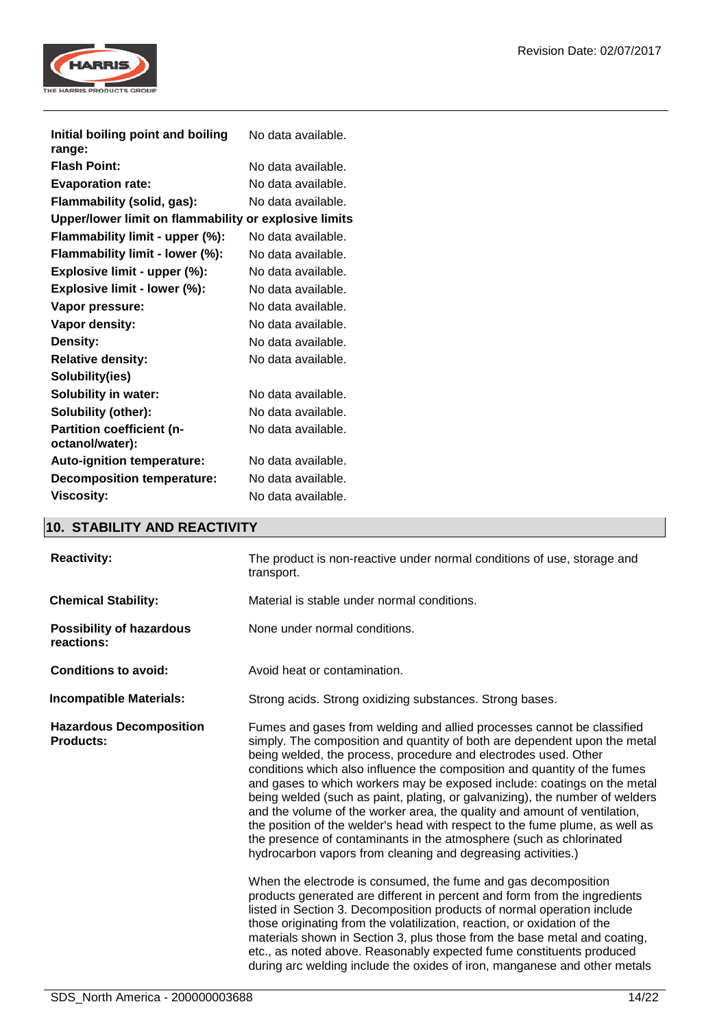

| Initial boiling point and boiling<br>range:           | No data available. |
|-------------------------------------------------------|--------------------|
| <b>Flash Point:</b>                                   | No data available. |
| <b>Evaporation rate:</b>                              | No data available. |
| Flammability (solid, gas):                            | No data available. |
| Upper/lower limit on flammability or explosive limits |                    |
| Flammability limit - upper (%):                       | No data available. |
| Flammability limit - lower (%):                       | No data available. |
| Explosive limit - upper (%):                          | No data available. |
| Explosive limit - lower (%):                          | No data available. |
| Vapor pressure:                                       | No data available. |
| <b>Vapor density:</b>                                 | No data available. |
| Density:                                              | No data available. |
| <b>Relative density:</b>                              | No data available. |
| Solubility(ies)                                       |                    |
| <b>Solubility in water:</b>                           | No data available. |
| Solubility (other):                                   | No data available. |
| <b>Partition coefficient (n-</b>                      | No data available. |
| octanol/water):                                       |                    |
| <b>Auto-ignition temperature:</b>                     | No data available. |
| <b>Decomposition temperature:</b>                     | No data available. |
| <b>Viscosity:</b>                                     | No data available. |

## **10. STABILITY AND REACTIVITY**

| <b>Reactivity:</b>                                 | The product is non-reactive under normal conditions of use, storage and<br>transport.                                                                                                                                                                                                                                                                                                                                                                                                                                                                                                                                                                                                                                                                               |  |
|----------------------------------------------------|---------------------------------------------------------------------------------------------------------------------------------------------------------------------------------------------------------------------------------------------------------------------------------------------------------------------------------------------------------------------------------------------------------------------------------------------------------------------------------------------------------------------------------------------------------------------------------------------------------------------------------------------------------------------------------------------------------------------------------------------------------------------|--|
| <b>Chemical Stability:</b>                         | Material is stable under normal conditions.                                                                                                                                                                                                                                                                                                                                                                                                                                                                                                                                                                                                                                                                                                                         |  |
| <b>Possibility of hazardous</b><br>reactions:      | None under normal conditions.                                                                                                                                                                                                                                                                                                                                                                                                                                                                                                                                                                                                                                                                                                                                       |  |
| <b>Conditions to avoid:</b>                        | Avoid heat or contamination.                                                                                                                                                                                                                                                                                                                                                                                                                                                                                                                                                                                                                                                                                                                                        |  |
| <b>Incompatible Materials:</b>                     | Strong acids. Strong oxidizing substances. Strong bases.                                                                                                                                                                                                                                                                                                                                                                                                                                                                                                                                                                                                                                                                                                            |  |
| <b>Hazardous Decomposition</b><br><b>Products:</b> | Fumes and gases from welding and allied processes cannot be classified<br>simply. The composition and quantity of both are dependent upon the metal<br>being welded, the process, procedure and electrodes used. Other<br>conditions which also influence the composition and quantity of the fumes<br>and gases to which workers may be exposed include: coatings on the metal<br>being welded (such as paint, plating, or galvanizing), the number of welders<br>and the volume of the worker area, the quality and amount of ventilation,<br>the position of the welder's head with respect to the fume plume, as well as<br>the presence of contaminants in the atmosphere (such as chlorinated<br>hydrocarbon vapors from cleaning and degreasing activities.) |  |
|                                                    | When the electrode is consumed, the fume and gas decomposition<br>products generated are different in percent and form from the ingredients<br>listed in Section 3. Decomposition products of normal operation include<br>those originating from the volatilization, reaction, or oxidation of the<br>materials shown in Section 3, plus those from the base metal and coating,<br>etc., as noted above. Reasonably expected fume constituents produced<br>during arc welding include the oxides of iron, manganese and other metals                                                                                                                                                                                                                                |  |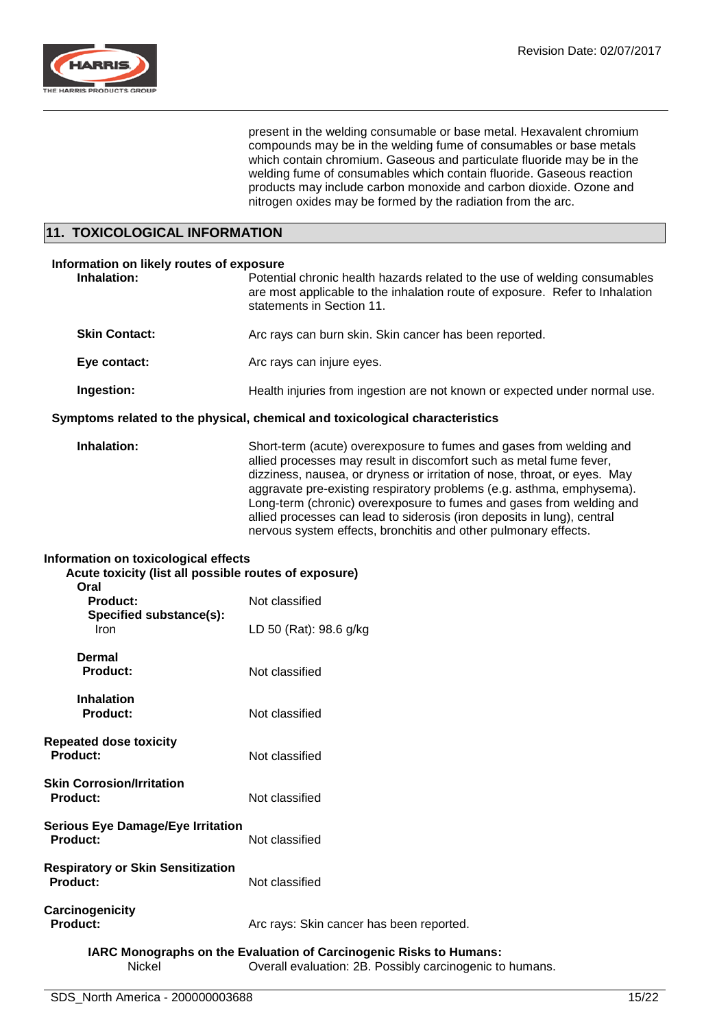

present in the welding consumable or base metal. Hexavalent chromium compounds may be in the welding fume of consumables or base metals which contain chromium. Gaseous and particulate fluoride may be in the welding fume of consumables which contain fluoride. Gaseous reaction products may include carbon monoxide and carbon dioxide. Ozone and nitrogen oxides may be formed by the radiation from the arc.

## **11. TOXICOLOGICAL INFORMATION**

## **Information on likely routes of exposure Inhalation:** Potential chronic health hazards related to the use of welding consumables are most applicable to the inhalation route of exposure. Refer to Inhalation statements in Section 11. **Skin Contact:** Arc rays can burn skin. Skin cancer has been reported. **Eye contact:** Arc rays can injure eyes. **Ingestion:** Health injuries from ingestion are not known or expected under normal use.

## **Symptoms related to the physical, chemical and toxicological characteristics**

**Inhalation:** Short-term (acute) overexposure to fumes and gases from welding and allied processes may result in discomfort such as metal fume fever, dizziness, nausea, or dryness or irritation of nose, throat, or eyes. May aggravate pre-existing respiratory problems (e.g. asthma, emphysema). Long-term (chronic) overexposure to fumes and gases from welding and allied processes can lead to siderosis (iron deposits in lung), central nervous system effects, bronchitis and other pulmonary effects.

#### **Information on toxicological effects**

| Acute toxicity (list all possible routes of exposure)<br>Oral |                                          |  |
|---------------------------------------------------------------|------------------------------------------|--|
| Product:<br>Specified substance(s):<br><b>Iron</b>            | Not classified                           |  |
|                                                               | LD 50 (Rat): 98.6 g/kg                   |  |
| Dermal<br><b>Product:</b>                                     | Not classified                           |  |
| <b>Inhalation</b><br>Product:                                 | Not classified                           |  |
| <b>Repeated dose toxicity</b><br>Product:                     | Not classified                           |  |
| <b>Skin Corrosion/Irritation</b><br><b>Product:</b>           | Not classified                           |  |
| <b>Serious Eye Damage/Eye Irritation</b><br>Product:          | Not classified                           |  |
| <b>Respiratory or Skin Sensitization</b><br><b>Product:</b>   | Not classified                           |  |
| Carcinogenicity<br>Product:                                   | Arc rays: Skin cancer has been reported. |  |
|                                                               |                                          |  |

## **IARC Monographs on the Evaluation of Carcinogenic Risks to Humans:**

Nickel Overall evaluation: 2B. Possibly carcinogenic to humans.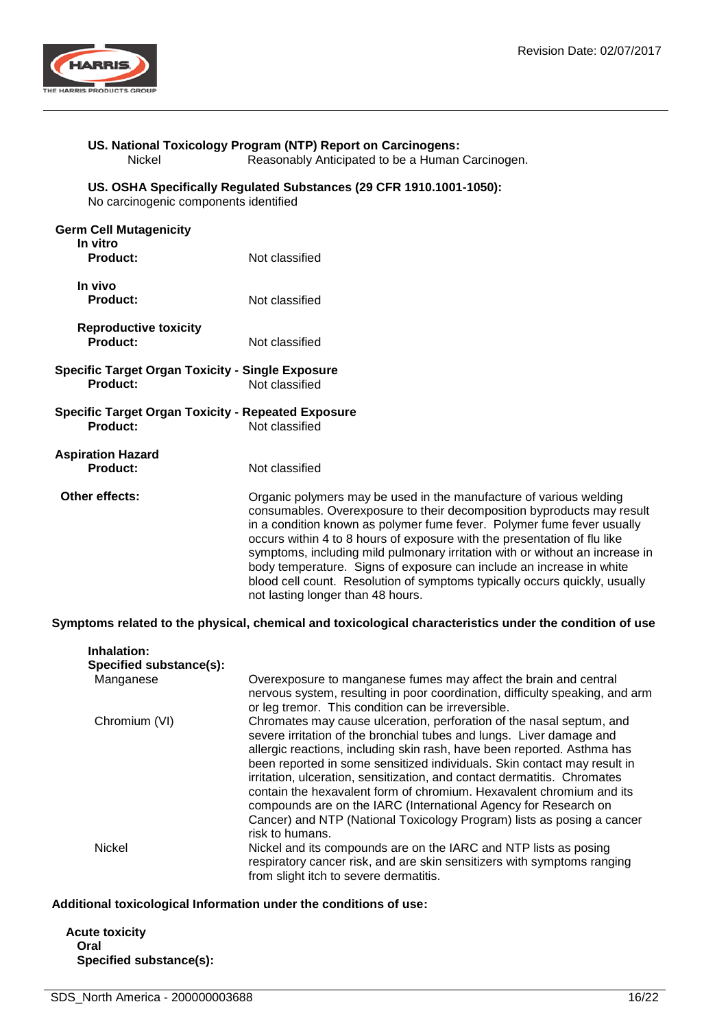

# **US. National Toxicology Program (NTP) Report on Carcinogens:**

Reasonably Anticipated to be a Human Carcinogen.

#### **US. OSHA Specifically Regulated Substances (29 CFR 1910.1001-1050):**

No carcinogenic components identified

| <b>Germ Cell Mutagenicity</b><br>In vitro<br><b>Product:</b>                 | Not classified                                                                                                                                                                                                                                                                                                                                                                                                                                                                                                                                                                |
|------------------------------------------------------------------------------|-------------------------------------------------------------------------------------------------------------------------------------------------------------------------------------------------------------------------------------------------------------------------------------------------------------------------------------------------------------------------------------------------------------------------------------------------------------------------------------------------------------------------------------------------------------------------------|
| In vivo<br><b>Product:</b>                                                   | Not classified                                                                                                                                                                                                                                                                                                                                                                                                                                                                                                                                                                |
| <b>Reproductive toxicity</b><br><b>Product:</b>                              | Not classified                                                                                                                                                                                                                                                                                                                                                                                                                                                                                                                                                                |
| <b>Specific Target Organ Toxicity - Single Exposure</b><br><b>Product:</b>   | Not classified                                                                                                                                                                                                                                                                                                                                                                                                                                                                                                                                                                |
| <b>Specific Target Organ Toxicity - Repeated Exposure</b><br><b>Product:</b> | Not classified                                                                                                                                                                                                                                                                                                                                                                                                                                                                                                                                                                |
| <b>Aspiration Hazard</b><br>Product:                                         | Not classified                                                                                                                                                                                                                                                                                                                                                                                                                                                                                                                                                                |
| Other effects:                                                               | Organic polymers may be used in the manufacture of various welding<br>consumables. Overexposure to their decomposition byproducts may result<br>in a condition known as polymer fume fever. Polymer fume fever usually<br>occurs within 4 to 8 hours of exposure with the presentation of flu like<br>symptoms, including mild pulmonary irritation with or without an increase in<br>body temperature. Signs of exposure can include an increase in white<br>blood cell count. Resolution of symptoms typically occurs quickly, usually<br>not lasting longer than 48 hours. |

**Symptoms related to the physical, chemical and toxicological characteristics under the condition of use**

| Inhalation:<br>Specified substance(s): |                                                                                                                                                                                                                                                                                                                                                                                                                                                                                                                                                                                                                         |
|----------------------------------------|-------------------------------------------------------------------------------------------------------------------------------------------------------------------------------------------------------------------------------------------------------------------------------------------------------------------------------------------------------------------------------------------------------------------------------------------------------------------------------------------------------------------------------------------------------------------------------------------------------------------------|
| Manganese                              | Overexposure to manganese fumes may affect the brain and central<br>nervous system, resulting in poor coordination, difficulty speaking, and arm<br>or leg tremor. This condition can be irreversible.                                                                                                                                                                                                                                                                                                                                                                                                                  |
| Chromium (VI)                          | Chromates may cause ulceration, perforation of the nasal septum, and<br>severe irritation of the bronchial tubes and lungs. Liver damage and<br>allergic reactions, including skin rash, have been reported. Asthma has<br>been reported in some sensitized individuals. Skin contact may result in<br>irritation, ulceration, sensitization, and contact dermatitis. Chromates<br>contain the hexavalent form of chromium. Hexavalent chromium and its<br>compounds are on the IARC (International Agency for Research on<br>Cancer) and NTP (National Toxicology Program) lists as posing a cancer<br>risk to humans. |
| <b>Nickel</b>                          | Nickel and its compounds are on the IARC and NTP lists as posing<br>respiratory cancer risk, and are skin sensitizers with symptoms ranging<br>from slight itch to severe dermatitis.                                                                                                                                                                                                                                                                                                                                                                                                                                   |

## **Additional toxicological Information under the conditions of use:**

**Acute toxicity Oral Specified substance(s):**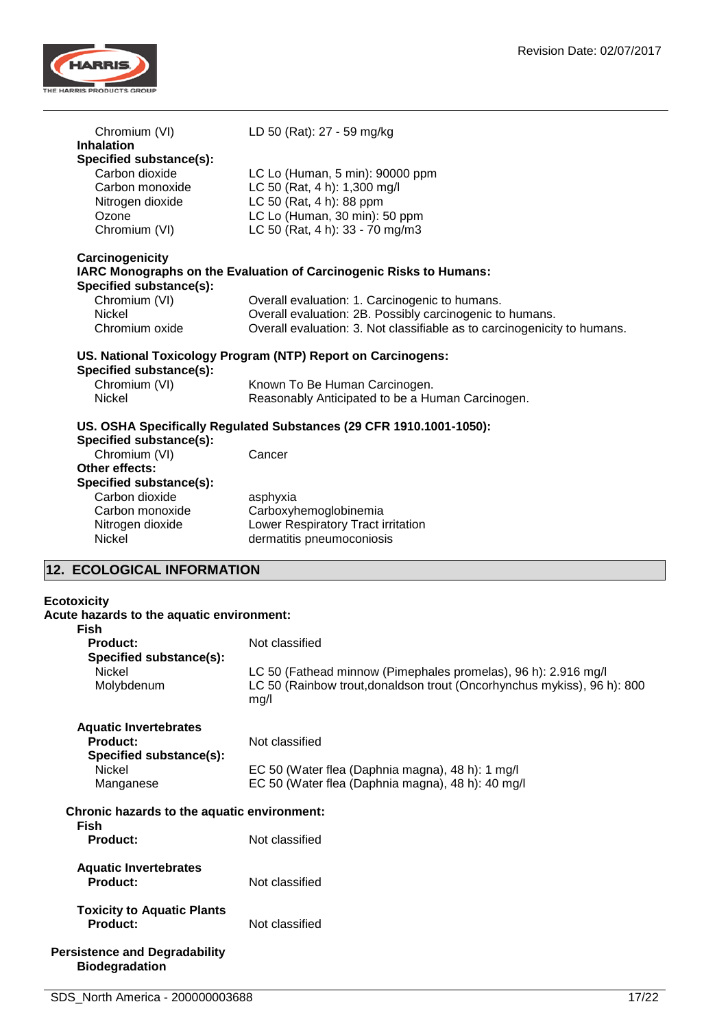

| Chromium (VI)                                                 | LD 50 (Rat): 27 - 59 mg/kg                                                                                                                        |
|---------------------------------------------------------------|---------------------------------------------------------------------------------------------------------------------------------------------------|
| <b>Inhalation</b>                                             |                                                                                                                                                   |
| Specified substance(s):                                       |                                                                                                                                                   |
| Carbon dioxide<br>Carbon monoxide                             | LC Lo (Human, 5 min): 90000 ppm<br>LC 50 (Rat, 4 h): 1,300 mg/l                                                                                   |
|                                                               | LC 50 (Rat, 4 h): 88 ppm                                                                                                                          |
| Nitrogen dioxide<br>Ozone                                     | LC Lo (Human, 30 min): 50 ppm                                                                                                                     |
| Chromium (VI)                                                 | LC 50 (Rat, 4 h): 33 - 70 mg/m3                                                                                                                   |
|                                                               |                                                                                                                                                   |
| Carcinogenicity<br>Specified substance(s):                    | IARC Monographs on the Evaluation of Carcinogenic Risks to Humans:                                                                                |
| Chromium (VI)                                                 | Overall evaluation: 1. Carcinogenic to humans.                                                                                                    |
| Nickel                                                        | Overall evaluation: 2B. Possibly carcinogenic to humans.                                                                                          |
| Chromium oxide                                                | Overall evaluation: 3. Not classifiable as to carcinogenicity to humans.                                                                          |
|                                                               |                                                                                                                                                   |
| Specified substance(s):                                       | US. National Toxicology Program (NTP) Report on Carcinogens:                                                                                      |
| Chromium (VI)                                                 | Known To Be Human Carcinogen.                                                                                                                     |
| <b>Nickel</b>                                                 | Reasonably Anticipated to be a Human Carcinogen.                                                                                                  |
| Specified substance(s):                                       | US. OSHA Specifically Regulated Substances (29 CFR 1910.1001-1050):                                                                               |
| Chromium (VI)<br>Other effects:                               | Cancer                                                                                                                                            |
| Specified substance(s):                                       |                                                                                                                                                   |
| Carbon dioxide                                                | asphyxia                                                                                                                                          |
| Carbon monoxide                                               | Carboxyhemoglobinemia                                                                                                                             |
| Nitrogen dioxide                                              | Lower Respiratory Tract irritation                                                                                                                |
| Nickel                                                        | dermatitis pneumoconiosis                                                                                                                         |
| 12. ECOLOGICAL INFORMATION                                    |                                                                                                                                                   |
| <b>Ecotoxicity</b>                                            |                                                                                                                                                   |
| Acute hazards to the aquatic environment:                     |                                                                                                                                                   |
| <b>Fish</b>                                                   |                                                                                                                                                   |
| <b>Product:</b>                                               | Not classified                                                                                                                                    |
| Specified substance(s):                                       |                                                                                                                                                   |
| Nickel<br>Molybdenum                                          | LC 50 (Fathead minnow (Pimephales promelas), 96 h): 2.916 mg/l<br>LC 50 (Rainbow trout, donaldson trout (Oncorhynchus mykiss), 96 h): 800<br>mg/l |
| <b>Aquatic Invertebrates</b>                                  |                                                                                                                                                   |
| <b>Product:</b>                                               | Not classified                                                                                                                                    |
| Specified substance(s):                                       |                                                                                                                                                   |
| Nickel<br>Manganese                                           | EC 50 (Water flea (Daphnia magna), 48 h): 1 mg/l<br>EC 50 (Water flea (Daphnia magna), 48 h): 40 mg/l                                             |
| Chronic hazards to the aquatic environment:<br><b>Fish</b>    |                                                                                                                                                   |
| <b>Product:</b>                                               | Not classified                                                                                                                                    |
|                                                               |                                                                                                                                                   |
| <b>Aquatic Invertebrates</b><br><b>Product:</b>               | Not classified                                                                                                                                    |
| <b>Toxicity to Aquatic Plants</b>                             |                                                                                                                                                   |
| <b>Product:</b>                                               | Not classified                                                                                                                                    |
|                                                               |                                                                                                                                                   |
| <b>Persistence and Degradability</b><br><b>Biodegradation</b> |                                                                                                                                                   |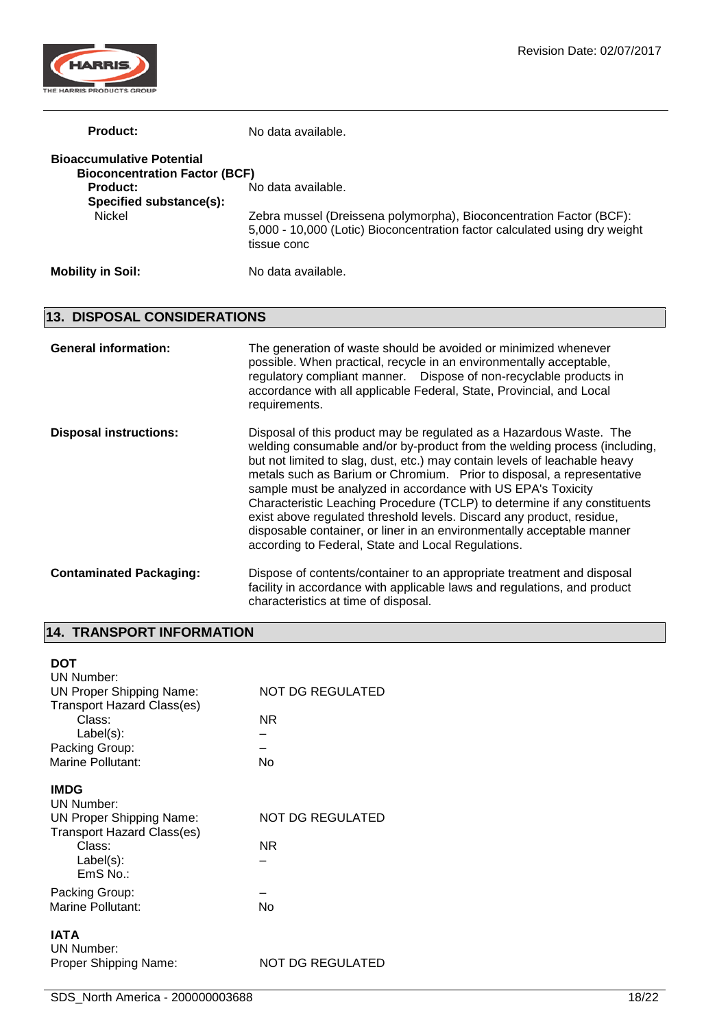

| Product:                             | No data available.                                                                                                                                               |
|--------------------------------------|------------------------------------------------------------------------------------------------------------------------------------------------------------------|
| <b>Bioaccumulative Potential</b>     |                                                                                                                                                                  |
| <b>Bioconcentration Factor (BCF)</b> |                                                                                                                                                                  |
| <b>Product:</b>                      | No data available.                                                                                                                                               |
| Specified substance(s):              |                                                                                                                                                                  |
| Nickel                               | Zebra mussel (Dreissena polymorpha), Bioconcentration Factor (BCF):<br>5,000 - 10,000 (Lotic) Bioconcentration factor calculated using dry weight<br>tissue conc |
| <b>Mobility in Soil:</b>             | No data available.                                                                                                                                               |

## **13. DISPOSAL CONSIDERATIONS**

| <b>General information:</b>    | The generation of waste should be avoided or minimized whenever<br>possible. When practical, recycle in an environmentally acceptable,<br>regulatory compliant manner. Dispose of non-recyclable products in<br>accordance with all applicable Federal, State, Provincial, and Local<br>requirements.                                                                                                                                                                                                                                                                                                                                                          |
|--------------------------------|----------------------------------------------------------------------------------------------------------------------------------------------------------------------------------------------------------------------------------------------------------------------------------------------------------------------------------------------------------------------------------------------------------------------------------------------------------------------------------------------------------------------------------------------------------------------------------------------------------------------------------------------------------------|
| <b>Disposal instructions:</b>  | Disposal of this product may be regulated as a Hazardous Waste. The<br>welding consumable and/or by-product from the welding process (including,<br>but not limited to slag, dust, etc.) may contain levels of leachable heavy<br>metals such as Barium or Chromium. Prior to disposal, a representative<br>sample must be analyzed in accordance with US EPA's Toxicity<br>Characteristic Leaching Procedure (TCLP) to determine if any constituents<br>exist above regulated threshold levels. Discard any product, residue,<br>disposable container, or liner in an environmentally acceptable manner<br>according to Federal, State and Local Regulations. |
| <b>Contaminated Packaging:</b> | Dispose of contents/container to an appropriate treatment and disposal<br>facility in accordance with applicable laws and regulations, and product<br>characteristics at time of disposal.                                                                                                                                                                                                                                                                                                                                                                                                                                                                     |

## **14. TRANSPORT INFORMATION**

| DOT<br>UN Number:<br><b>UN Proper Shipping Name:</b><br><b>Transport Hazard Class(es)</b><br>Class:<br>$Label(s)$ :<br>Packing Group:<br>Marine Pollutant: | NOT DG REGULATED<br>ΝR<br>No |
|------------------------------------------------------------------------------------------------------------------------------------------------------------|------------------------------|
| <b>IMDG</b><br>UN Number:<br><b>UN Proper Shipping Name:</b><br><b>Transport Hazard Class(es)</b><br>Class:<br>$Label(s)$ :<br>$EmS$ No.:                  | NOT DG REGULATED<br>ΝR       |
| Packing Group:<br>Marine Pollutant:                                                                                                                        | No                           |
| IATA<br>UN Number:<br>Proper Shipping Name:                                                                                                                | NOT DG REGULATED             |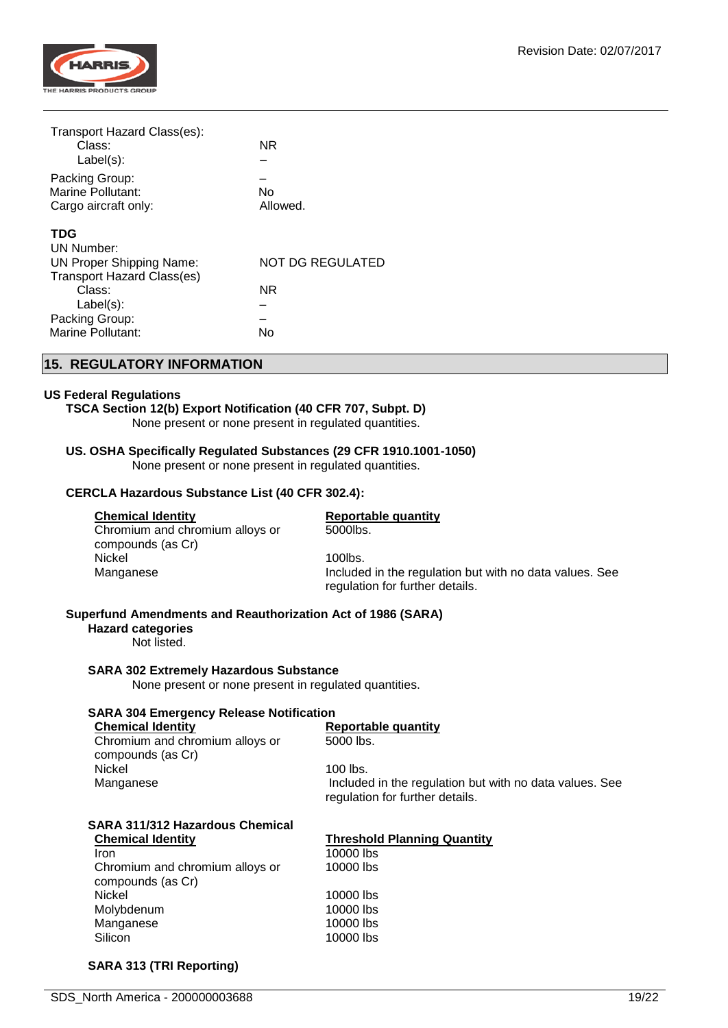

| Transport Hazard Class(es):       |                         |
|-----------------------------------|-------------------------|
| Class:                            | NR.                     |
| Label(s):                         |                         |
| Packing Group:                    |                         |
| Marine Pollutant:                 | No                      |
| Cargo aircraft only:              | Allowed.                |
| <b>TDG</b>                        |                         |
| <b>UN Number:</b>                 |                         |
| UN Proper Shipping Name:          | <b>NOT DG REGULATED</b> |
| <b>Transport Hazard Class(es)</b> |                         |
| Class:                            | NR                      |
| $Label(s)$ :                      |                         |
| Packing Group:                    |                         |
| Marine Pollutant:                 | No                      |
|                                   |                         |

## **15. REGULATORY INFORMATION**

## **US Federal Regulations**

## **TSCA Section 12(b) Export Notification (40 CFR 707, Subpt. D)**

None present or none present in regulated quantities.

## **US. OSHA Specifically Regulated Substances (29 CFR 1910.1001-1050)**

None present or none present in regulated quantities.

#### **CERCLA Hazardous Substance List (40 CFR 302.4):**

#### **Chemical Identity Reportable quantity**

# 5000lbs.

Chromium and chromium alloys or compounds (as Cr) Nickel 2001 100 Nickel 2001 100 Nickel 2001 100 Nickel 2002 100 Nickel 2002 100 Nickel 2002 100 Nickel 2003 10

## Manganese **Included in the regulation but with no data values.** See regulation for further details.

## **Superfund Amendments and Reauthorization Act of 1986 (SARA)**

#### **Hazard categories**

Not listed.

#### **SARA 302 Extremely Hazardous Substance**

None present or none present in regulated quantities.

## **SARA 304 Emergency Release Notification**

**Chemical Identity Reportable quantity** Chromium and chromium alloys or compounds (as Cr) Nickel 100 lbs.<br>Manganese and the contract of the Manganese

5000 lbs.

Included in the regulation but with no data values. See regulation for further details.

## **SARA 311/312 Hazardous Chemical Chemical Identity Threshold Planning Quantity**

**Iron** 10000 lbs Chromium and chromium alloys or compounds (as Cr) Nickel 10000 lbs Molybdenum 10000 lbs Manganese 10000 lbs Silicon 10000 lbs

10000 lbs

## **SARA 313 (TRI Reporting)**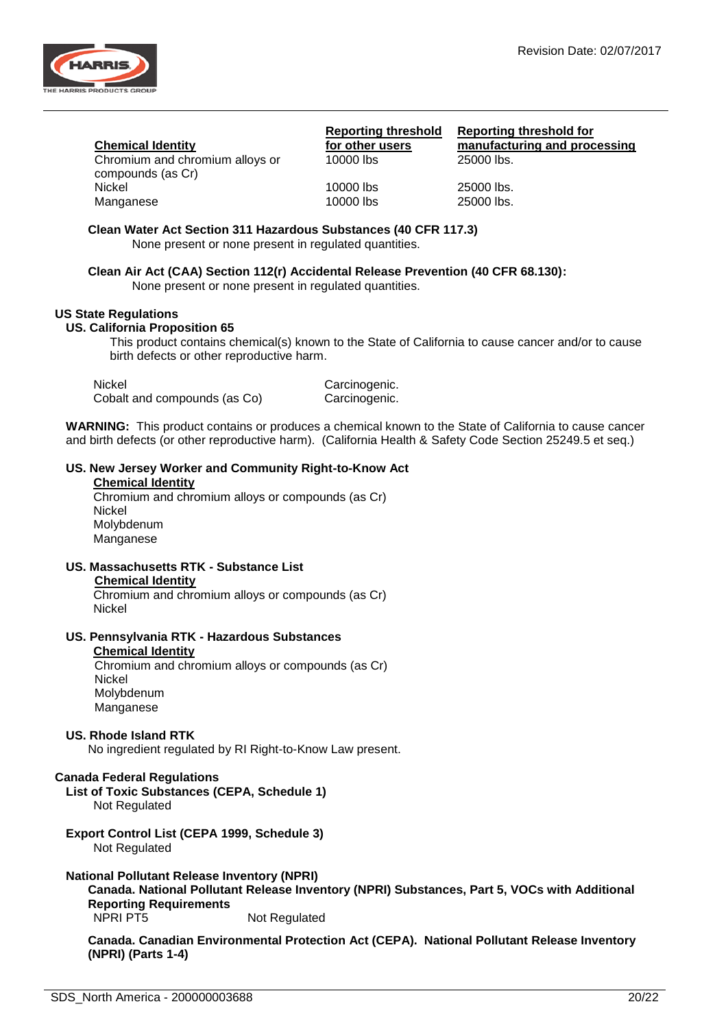

|--|

Chromium and chromium alloys or compounds (as Cr) Nickel 10000 lbs 25000 lbs. Manganese 10000 lbs 25000 lbs.

**Reporting threshold for other users**<br>10000 lbs

**Reporting threshold for manufacturing and processing**  $25000$  lbs.

**Clean Water Act Section 311 Hazardous Substances (40 CFR 117.3)**

None present or none present in regulated quantities.

**Clean Air Act (CAA) Section 112(r) Accidental Release Prevention (40 CFR 68.130):** None present or none present in regulated quantities.

## **US State Regulations**

## **US. California Proposition 65**

This product contains chemical(s) known to the State of California to cause cancer and/or to cause birth defects or other reproductive harm.

| Nickel                       | Carcinogenic. |
|------------------------------|---------------|
| Cobalt and compounds (as Co) | Carcinogenic. |

**WARNING:** This product contains or produces a chemical known to the State of California to cause cancer and birth defects (or other reproductive harm). (California Health & Safety Code Section 25249.5 et seq.)

## **US. New Jersey Worker and Community Right-to-Know Act**

#### **Chemical Identity**

Chromium and chromium alloys or compounds (as Cr) Nickel Molybdenum Manganese

**US. Massachusetts RTK - Substance List Chemical Identity**

Chromium and chromium alloys or compounds (as Cr) Nickel

## **US. Pennsylvania RTK - Hazardous Substances**

#### **Chemical Identity**

Chromium and chromium alloys or compounds (as Cr) Nickel Molybdenum Manganese

## **US. Rhode Island RTK**

No ingredient regulated by RI Right-to-Know Law present.

## **Canada Federal Regulations**

**List of Toxic Substances (CEPA, Schedule 1)** Not Regulated

**Export Control List (CEPA 1999, Schedule 3)** Not Regulated

**National Pollutant Release Inventory (NPRI)**

**Canada. National Pollutant Release Inventory (NPRI) Substances, Part 5, VOCs with Additional Reporting Requirements** NPRI PT5 Not Regulated

**Canada. Canadian Environmental Protection Act (CEPA). National Pollutant Release Inventory (NPRI) (Parts 1-4)**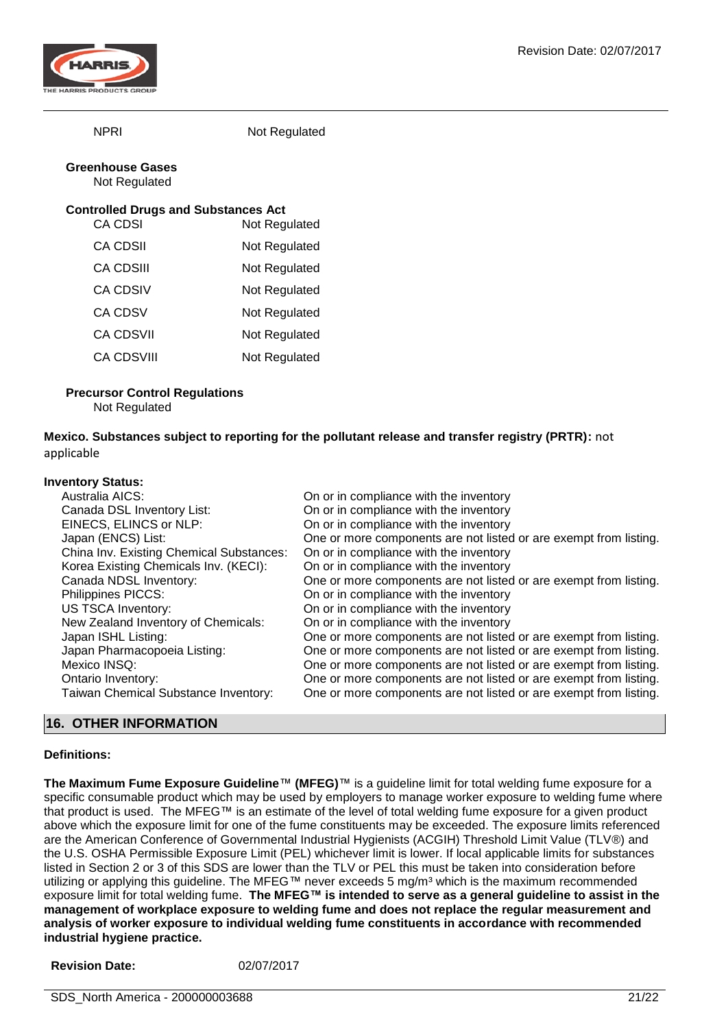

NPRI Not Regulated

#### **Greenhouse Gases** Not Regulated

## **Controlled Drugs and Substances Act**

| CA CDSI           | Not Regulated |
|-------------------|---------------|
| CA CDSII          | Not Regulated |
| CA CDSIII         | Not Regulated |
| CA CDSIV          | Not Regulated |
| <b>CA CDSV</b>    | Not Regulated |
| <b>CA CDSVII</b>  | Not Regulated |
| <b>CA CDSVIII</b> | Not Regulated |
|                   |               |

## **Precursor Control Regulations**

Not Regulated

**Mexico. Substances subject to reporting for the pollutant release and transfer registry (PRTR):** not applicable

## **Inventory Status:**

| TUINUI Y UNNNUI                          |                                                                   |
|------------------------------------------|-------------------------------------------------------------------|
| Australia AICS:                          | On or in compliance with the inventory                            |
| Canada DSL Inventory List:               | On or in compliance with the inventory                            |
| EINECS, ELINCS or NLP:                   | On or in compliance with the inventory                            |
| Japan (ENCS) List:                       | One or more components are not listed or are exempt from listing. |
| China Inv. Existing Chemical Substances: | On or in compliance with the inventory                            |
| Korea Existing Chemicals Inv. (KECI):    | On or in compliance with the inventory                            |
| Canada NDSL Inventory:                   | One or more components are not listed or are exempt from listing. |
| Philippines PICCS:                       | On or in compliance with the inventory                            |
| <b>US TSCA Inventory:</b>                | On or in compliance with the inventory                            |
| New Zealand Inventory of Chemicals:      | On or in compliance with the inventory                            |
| Japan ISHL Listing:                      | One or more components are not listed or are exempt from listing. |
| Japan Pharmacopoeia Listing:             | One or more components are not listed or are exempt from listing. |
| Mexico INSQ:                             | One or more components are not listed or are exempt from listing. |
| Ontario Inventory:                       | One or more components are not listed or are exempt from listing. |
| Taiwan Chemical Substance Inventory:     | One or more components are not listed or are exempt from listing. |
|                                          |                                                                   |

## **16. OTHER INFORMATION**

## **Definitions:**

**The Maximum Fume Exposure Guideline**™ **(MFEG)**™ is a guideline limit for total welding fume exposure for a specific consumable product which may be used by employers to manage worker exposure to welding fume where that product is used. The MFEG™ is an estimate of the level of total welding fume exposure for a given product above which the exposure limit for one of the fume constituents may be exceeded. The exposure limits referenced are the American Conference of Governmental Industrial Hygienists (ACGIH) Threshold Limit Value (TLV®) and the U.S. OSHA Permissible Exposure Limit (PEL) whichever limit is lower. If local applicable limits for substances listed in Section 2 or 3 of this SDS are lower than the TLV or PEL this must be taken into consideration before utilizing or applying this guideline. The MFEG™ never exceeds 5 mg/m<sup>3</sup> which is the maximum recommended exposure limit for total welding fume. **The MFEG™ is intended to serve as a general guideline to assist in the management of workplace exposure to welding fume and does not replace the regular measurement and analysis of worker exposure to individual welding fume constituents in accordance with recommended industrial hygiene practice.**

| <b>Revision Date:</b> | 02/07/2017 |
|-----------------------|------------|